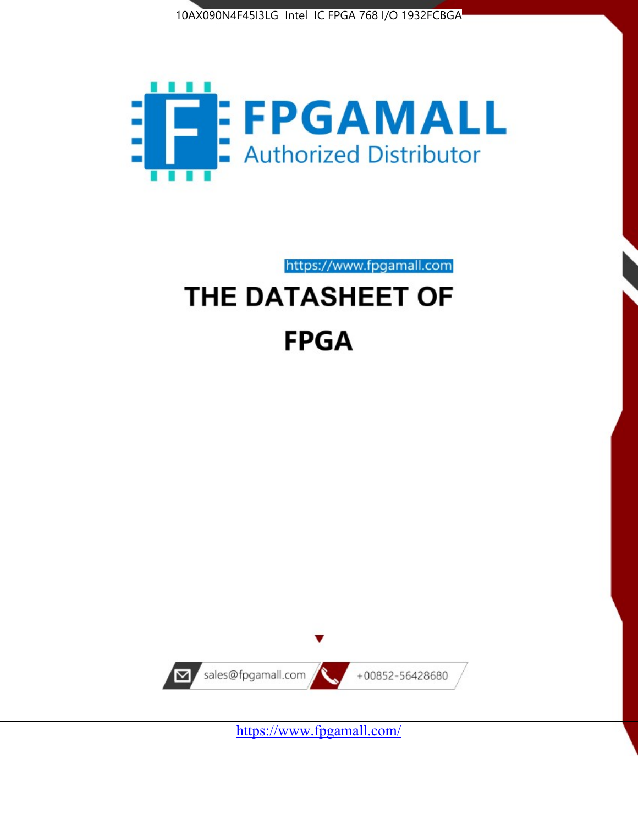



https://www.fpgamall.com

# THE DATASHEET OF **FPGA**



<https://www.fpgamall.com/>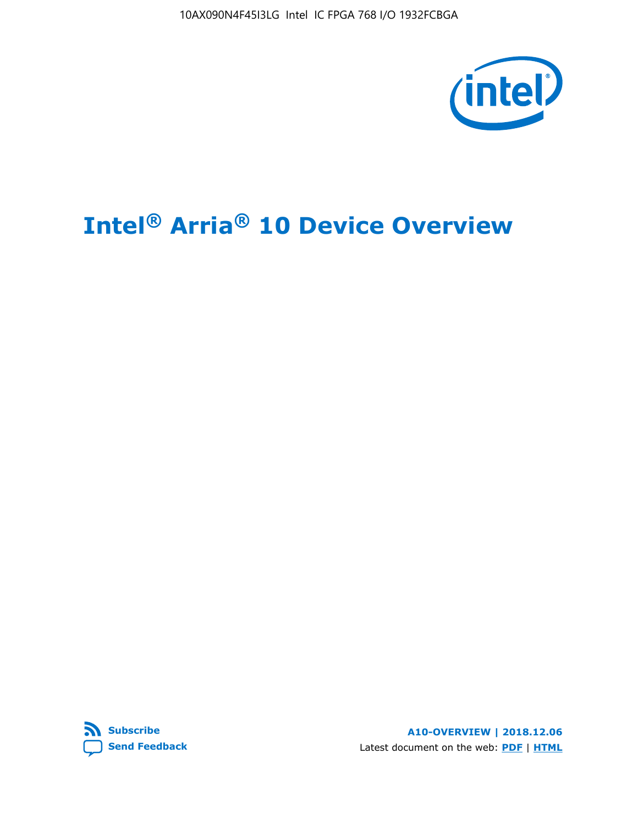10AX090N4F45I3LG Intel IC FPGA 768 I/O 1932FCBGA



# **Intel® Arria® 10 Device Overview**



**A10-OVERVIEW | 2018.12.06** Latest document on the web: **[PDF](https://www.intel.com/content/dam/www/programmable/us/en/pdfs/literature/hb/arria-10/a10_overview.pdf)** | **[HTML](https://www.intel.com/content/www/us/en/programmable/documentation/sam1403480274650.html)**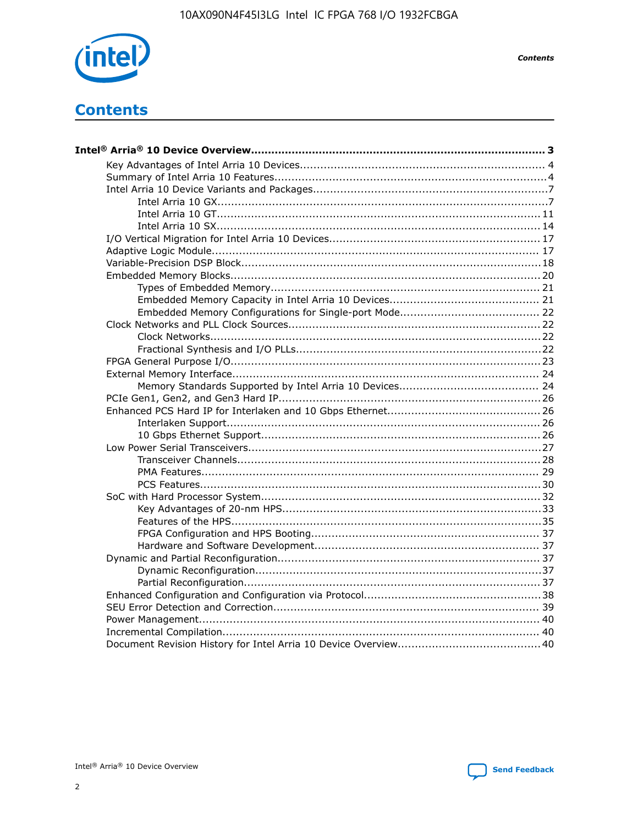

**Contents** 

# **Contents**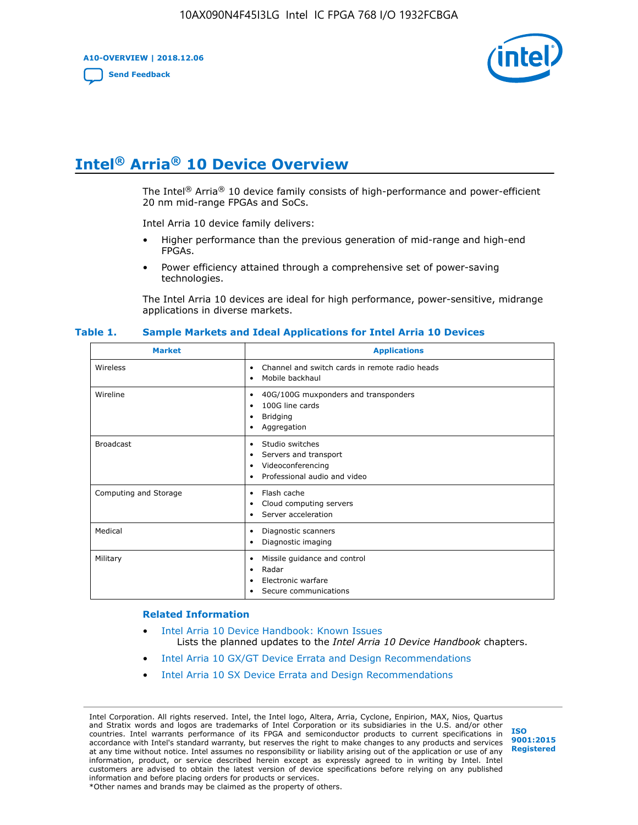**A10-OVERVIEW | 2018.12.06**

**[Send Feedback](mailto:FPGAtechdocfeedback@intel.com?subject=Feedback%20on%20Intel%20Arria%2010%20Device%20Overview%20(A10-OVERVIEW%202018.12.06)&body=We%20appreciate%20your%20feedback.%20In%20your%20comments,%20also%20specify%20the%20page%20number%20or%20paragraph.%20Thank%20you.)**



# **Intel® Arria® 10 Device Overview**

The Intel<sup>®</sup> Arria<sup>®</sup> 10 device family consists of high-performance and power-efficient 20 nm mid-range FPGAs and SoCs.

Intel Arria 10 device family delivers:

- Higher performance than the previous generation of mid-range and high-end FPGAs.
- Power efficiency attained through a comprehensive set of power-saving technologies.

The Intel Arria 10 devices are ideal for high performance, power-sensitive, midrange applications in diverse markets.

| <b>Market</b>         | <b>Applications</b>                                                                                               |
|-----------------------|-------------------------------------------------------------------------------------------------------------------|
| Wireless              | Channel and switch cards in remote radio heads<br>٠<br>Mobile backhaul<br>٠                                       |
| Wireline              | 40G/100G muxponders and transponders<br>٠<br>100G line cards<br>٠<br><b>Bridging</b><br>٠<br>Aggregation<br>٠     |
| <b>Broadcast</b>      | Studio switches<br>٠<br>Servers and transport<br>٠<br>Videoconferencing<br>٠<br>Professional audio and video<br>٠ |
| Computing and Storage | Flash cache<br>٠<br>Cloud computing servers<br>٠<br>Server acceleration<br>٠                                      |
| Medical               | Diagnostic scanners<br>٠<br>Diagnostic imaging<br>٠                                                               |
| Military              | Missile guidance and control<br>٠<br>Radar<br>٠<br>Electronic warfare<br>٠<br>Secure communications<br>٠          |

#### **Table 1. Sample Markets and Ideal Applications for Intel Arria 10 Devices**

#### **Related Information**

- [Intel Arria 10 Device Handbook: Known Issues](http://www.altera.com/support/kdb/solutions/rd07302013_646.html) Lists the planned updates to the *Intel Arria 10 Device Handbook* chapters.
- [Intel Arria 10 GX/GT Device Errata and Design Recommendations](https://www.intel.com/content/www/us/en/programmable/documentation/agz1493851706374.html#yqz1494433888646)
- [Intel Arria 10 SX Device Errata and Design Recommendations](https://www.intel.com/content/www/us/en/programmable/documentation/cru1462832385668.html#cru1462832558642)

Intel Corporation. All rights reserved. Intel, the Intel logo, Altera, Arria, Cyclone, Enpirion, MAX, Nios, Quartus and Stratix words and logos are trademarks of Intel Corporation or its subsidiaries in the U.S. and/or other countries. Intel warrants performance of its FPGA and semiconductor products to current specifications in accordance with Intel's standard warranty, but reserves the right to make changes to any products and services at any time without notice. Intel assumes no responsibility or liability arising out of the application or use of any information, product, or service described herein except as expressly agreed to in writing by Intel. Intel customers are advised to obtain the latest version of device specifications before relying on any published information and before placing orders for products or services. \*Other names and brands may be claimed as the property of others.

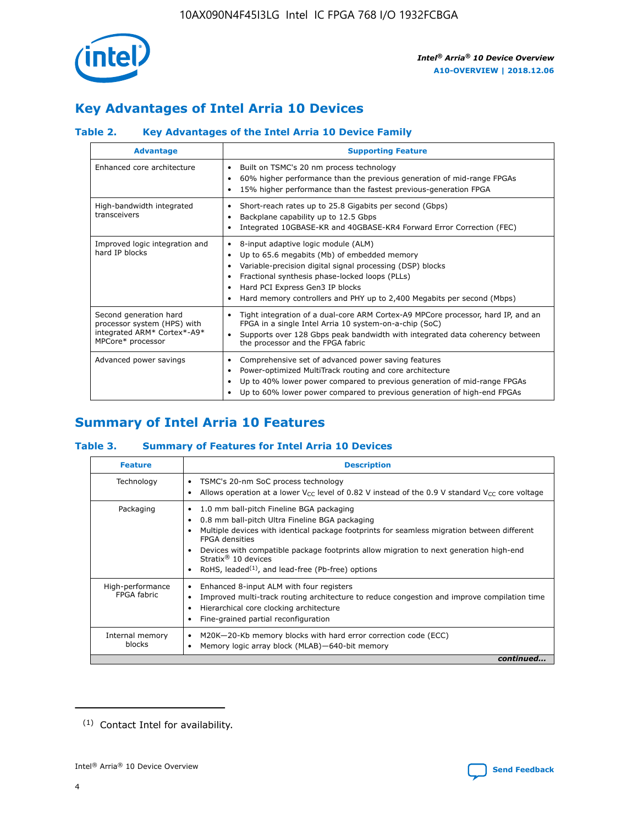

# **Key Advantages of Intel Arria 10 Devices**

# **Table 2. Key Advantages of the Intel Arria 10 Device Family**

| <b>Advantage</b>                                                                                          | <b>Supporting Feature</b>                                                                                                                                                                                                                                                                                                |
|-----------------------------------------------------------------------------------------------------------|--------------------------------------------------------------------------------------------------------------------------------------------------------------------------------------------------------------------------------------------------------------------------------------------------------------------------|
| Enhanced core architecture                                                                                | Built on TSMC's 20 nm process technology<br>٠<br>60% higher performance than the previous generation of mid-range FPGAs<br>٠<br>15% higher performance than the fastest previous-generation FPGA<br>٠                                                                                                                    |
| High-bandwidth integrated<br>transceivers                                                                 | Short-reach rates up to 25.8 Gigabits per second (Gbps)<br>٠<br>Backplane capability up to 12.5 Gbps<br>٠<br>Integrated 10GBASE-KR and 40GBASE-KR4 Forward Error Correction (FEC)<br>٠                                                                                                                                   |
| Improved logic integration and<br>hard IP blocks                                                          | 8-input adaptive logic module (ALM)<br>٠<br>Up to 65.6 megabits (Mb) of embedded memory<br>٠<br>Variable-precision digital signal processing (DSP) blocks<br>Fractional synthesis phase-locked loops (PLLs)<br>Hard PCI Express Gen3 IP blocks<br>Hard memory controllers and PHY up to 2,400 Megabits per second (Mbps) |
| Second generation hard<br>processor system (HPS) with<br>integrated ARM* Cortex*-A9*<br>MPCore* processor | Tight integration of a dual-core ARM Cortex-A9 MPCore processor, hard IP, and an<br>٠<br>FPGA in a single Intel Arria 10 system-on-a-chip (SoC)<br>Supports over 128 Gbps peak bandwidth with integrated data coherency between<br>$\bullet$<br>the processor and the FPGA fabric                                        |
| Advanced power savings                                                                                    | Comprehensive set of advanced power saving features<br>٠<br>Power-optimized MultiTrack routing and core architecture<br>٠<br>Up to 40% lower power compared to previous generation of mid-range FPGAs<br>٠<br>Up to 60% lower power compared to previous generation of high-end FPGAs<br>٠                               |

# **Summary of Intel Arria 10 Features**

## **Table 3. Summary of Features for Intel Arria 10 Devices**

| <b>Feature</b>                  | <b>Description</b>                                                                                                                                                                                                                                                                                                                                                                                       |
|---------------------------------|----------------------------------------------------------------------------------------------------------------------------------------------------------------------------------------------------------------------------------------------------------------------------------------------------------------------------------------------------------------------------------------------------------|
| Technology                      | TSMC's 20-nm SoC process technology<br>٠<br>Allows operation at a lower $V_{\text{CC}}$ level of 0.82 V instead of the 0.9 V standard $V_{\text{CC}}$ core voltage                                                                                                                                                                                                                                       |
| Packaging                       | 1.0 mm ball-pitch Fineline BGA packaging<br>0.8 mm ball-pitch Ultra Fineline BGA packaging<br>Multiple devices with identical package footprints for seamless migration between different<br><b>FPGA</b> densities<br>Devices with compatible package footprints allow migration to next generation high-end<br>Stratix $\mathcal{R}$ 10 devices<br>RoHS, leaded $(1)$ , and lead-free (Pb-free) options |
| High-performance<br>FPGA fabric | Enhanced 8-input ALM with four registers<br>٠<br>Improved multi-track routing architecture to reduce congestion and improve compilation time<br>Hierarchical core clocking architecture<br>Fine-grained partial reconfiguration                                                                                                                                                                          |
| Internal memory<br>blocks       | M20K-20-Kb memory blocks with hard error correction code (ECC)<br>Memory logic array block (MLAB)-640-bit memory                                                                                                                                                                                                                                                                                         |
|                                 | continued                                                                                                                                                                                                                                                                                                                                                                                                |



<sup>(1)</sup> Contact Intel for availability.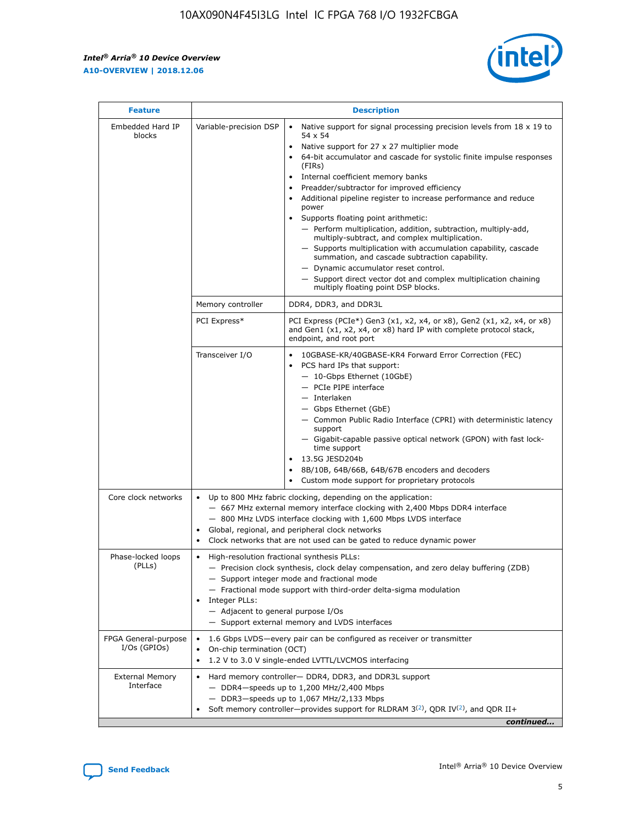r



| <b>Feature</b>                         | <b>Description</b>                                                                                             |                                                                                                                                                                                                                                                                                                                                                                                                                                                                                                                                                                                                                                                                                                                                                                                                                                        |  |  |  |  |  |
|----------------------------------------|----------------------------------------------------------------------------------------------------------------|----------------------------------------------------------------------------------------------------------------------------------------------------------------------------------------------------------------------------------------------------------------------------------------------------------------------------------------------------------------------------------------------------------------------------------------------------------------------------------------------------------------------------------------------------------------------------------------------------------------------------------------------------------------------------------------------------------------------------------------------------------------------------------------------------------------------------------------|--|--|--|--|--|
| Embedded Hard IP<br>blocks             | Variable-precision DSP                                                                                         | Native support for signal processing precision levels from $18 \times 19$ to<br>54 x 54<br>Native support for 27 x 27 multiplier mode<br>64-bit accumulator and cascade for systolic finite impulse responses<br>(FIRs)<br>Internal coefficient memory banks<br>$\bullet$<br>Preadder/subtractor for improved efficiency<br>Additional pipeline register to increase performance and reduce<br>power<br>Supports floating point arithmetic:<br>- Perform multiplication, addition, subtraction, multiply-add,<br>multiply-subtract, and complex multiplication.<br>- Supports multiplication with accumulation capability, cascade<br>summation, and cascade subtraction capability.<br>- Dynamic accumulator reset control.<br>- Support direct vector dot and complex multiplication chaining<br>multiply floating point DSP blocks. |  |  |  |  |  |
|                                        | Memory controller                                                                                              | DDR4, DDR3, and DDR3L                                                                                                                                                                                                                                                                                                                                                                                                                                                                                                                                                                                                                                                                                                                                                                                                                  |  |  |  |  |  |
|                                        | PCI Express*                                                                                                   | PCI Express (PCIe*) Gen3 (x1, x2, x4, or x8), Gen2 (x1, x2, x4, or x8)<br>and Gen1 (x1, x2, x4, or x8) hard IP with complete protocol stack,<br>endpoint, and root port                                                                                                                                                                                                                                                                                                                                                                                                                                                                                                                                                                                                                                                                |  |  |  |  |  |
|                                        | Transceiver I/O                                                                                                | 10GBASE-KR/40GBASE-KR4 Forward Error Correction (FEC)<br>PCS hard IPs that support:<br>$\bullet$<br>- 10-Gbps Ethernet (10GbE)<br>- PCIe PIPE interface<br>$-$ Interlaken<br>- Gbps Ethernet (GbE)<br>- Common Public Radio Interface (CPRI) with deterministic latency<br>support<br>- Gigabit-capable passive optical network (GPON) with fast lock-<br>time support<br>13.5G JESD204b<br>$\bullet$<br>8B/10B, 64B/66B, 64B/67B encoders and decoders<br>Custom mode support for proprietary protocols                                                                                                                                                                                                                                                                                                                               |  |  |  |  |  |
| Core clock networks                    | $\bullet$<br>$\bullet$                                                                                         | Up to 800 MHz fabric clocking, depending on the application:<br>- 667 MHz external memory interface clocking with 2,400 Mbps DDR4 interface<br>- 800 MHz LVDS interface clocking with 1,600 Mbps LVDS interface<br>Global, regional, and peripheral clock networks<br>Clock networks that are not used can be gated to reduce dynamic power                                                                                                                                                                                                                                                                                                                                                                                                                                                                                            |  |  |  |  |  |
| Phase-locked loops<br>(PLLs)           | High-resolution fractional synthesis PLLs:<br>$\bullet$<br>Integer PLLs:<br>- Adjacent to general purpose I/Os | - Precision clock synthesis, clock delay compensation, and zero delay buffering (ZDB)<br>- Support integer mode and fractional mode<br>- Fractional mode support with third-order delta-sigma modulation<br>- Support external memory and LVDS interfaces                                                                                                                                                                                                                                                                                                                                                                                                                                                                                                                                                                              |  |  |  |  |  |
| FPGA General-purpose<br>$I/Os$ (GPIOs) | On-chip termination (OCT)                                                                                      | 1.6 Gbps LVDS-every pair can be configured as receiver or transmitter<br>1.2 V to 3.0 V single-ended LVTTL/LVCMOS interfacing                                                                                                                                                                                                                                                                                                                                                                                                                                                                                                                                                                                                                                                                                                          |  |  |  |  |  |
| <b>External Memory</b><br>Interface    |                                                                                                                | Hard memory controller- DDR4, DDR3, and DDR3L support<br>$-$ DDR4 $-$ speeds up to 1,200 MHz/2,400 Mbps<br>- DDR3-speeds up to 1,067 MHz/2,133 Mbps<br>Soft memory controller—provides support for RLDRAM $3^{(2)}$ , QDR IV $^{(2)}$ , and QDR II+<br>continued                                                                                                                                                                                                                                                                                                                                                                                                                                                                                                                                                                       |  |  |  |  |  |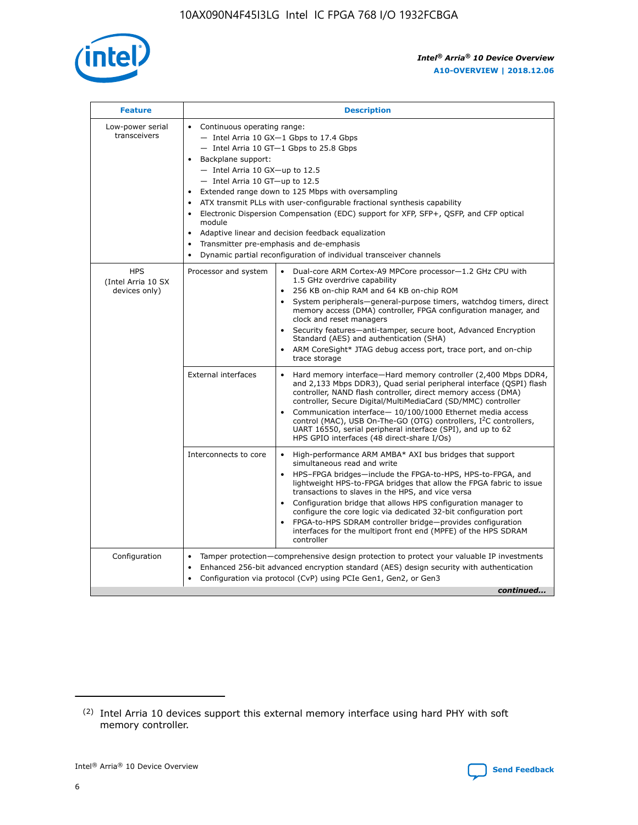

| <b>Feature</b>                                    | <b>Description</b>                                                                                                                                                                                                                                                                                                                                                                                                                                                                                                                                                                                                                                    |
|---------------------------------------------------|-------------------------------------------------------------------------------------------------------------------------------------------------------------------------------------------------------------------------------------------------------------------------------------------------------------------------------------------------------------------------------------------------------------------------------------------------------------------------------------------------------------------------------------------------------------------------------------------------------------------------------------------------------|
| Low-power serial<br>transceivers                  | • Continuous operating range:<br>- Intel Arria 10 GX-1 Gbps to 17.4 Gbps<br>- Intel Arria 10 GT-1 Gbps to 25.8 Gbps<br>Backplane support:<br>$-$ Intel Arria 10 GX-up to 12.5<br>- Intel Arria 10 GT-up to 12.5<br>Extended range down to 125 Mbps with oversampling<br>ATX transmit PLLs with user-configurable fractional synthesis capability<br>Electronic Dispersion Compensation (EDC) support for XFP, SFP+, QSFP, and CFP optical<br>module<br>Adaptive linear and decision feedback equalization<br>$\bullet$<br>Transmitter pre-emphasis and de-emphasis<br>$\bullet$<br>Dynamic partial reconfiguration of individual transceiver channels |
| <b>HPS</b><br>(Intel Arria 10 SX<br>devices only) | • Dual-core ARM Cortex-A9 MPCore processor-1.2 GHz CPU with<br>Processor and system<br>1.5 GHz overdrive capability<br>256 KB on-chip RAM and 64 KB on-chip ROM<br>$\bullet$<br>System peripherals—general-purpose timers, watchdog timers, direct<br>memory access (DMA) controller, FPGA configuration manager, and<br>clock and reset managers<br>Security features—anti-tamper, secure boot, Advanced Encryption<br>$\bullet$<br>Standard (AES) and authentication (SHA)<br>ARM CoreSight* JTAG debug access port, trace port, and on-chip<br>$\bullet$<br>trace storage                                                                          |
|                                                   | <b>External interfaces</b><br>Hard memory interface-Hard memory controller (2,400 Mbps DDR4,<br>$\bullet$<br>and 2,133 Mbps DDR3), Quad serial peripheral interface (QSPI) flash<br>controller, NAND flash controller, direct memory access (DMA)<br>controller, Secure Digital/MultiMediaCard (SD/MMC) controller<br>Communication interface-10/100/1000 Ethernet media access<br>$\bullet$<br>control (MAC), USB On-The-GO (OTG) controllers, I <sup>2</sup> C controllers,<br>UART 16550, serial peripheral interface (SPI), and up to 62<br>HPS GPIO interfaces (48 direct-share I/Os)                                                            |
|                                                   | High-performance ARM AMBA* AXI bus bridges that support<br>Interconnects to core<br>$\bullet$<br>simultaneous read and write<br>HPS-FPGA bridges-include the FPGA-to-HPS, HPS-to-FPGA, and<br>$\bullet$<br>lightweight HPS-to-FPGA bridges that allow the FPGA fabric to issue<br>transactions to slaves in the HPS, and vice versa<br>Configuration bridge that allows HPS configuration manager to<br>configure the core logic via dedicated 32-bit configuration port<br>FPGA-to-HPS SDRAM controller bridge-provides configuration<br>interfaces for the multiport front end (MPFE) of the HPS SDRAM<br>controller                                |
| Configuration                                     | Tamper protection—comprehensive design protection to protect your valuable IP investments<br>Enhanced 256-bit advanced encryption standard (AES) design security with authentication<br>٠<br>Configuration via protocol (CvP) using PCIe Gen1, Gen2, or Gen3<br>continued                                                                                                                                                                                                                                                                                                                                                                             |

<sup>(2)</sup> Intel Arria 10 devices support this external memory interface using hard PHY with soft memory controller.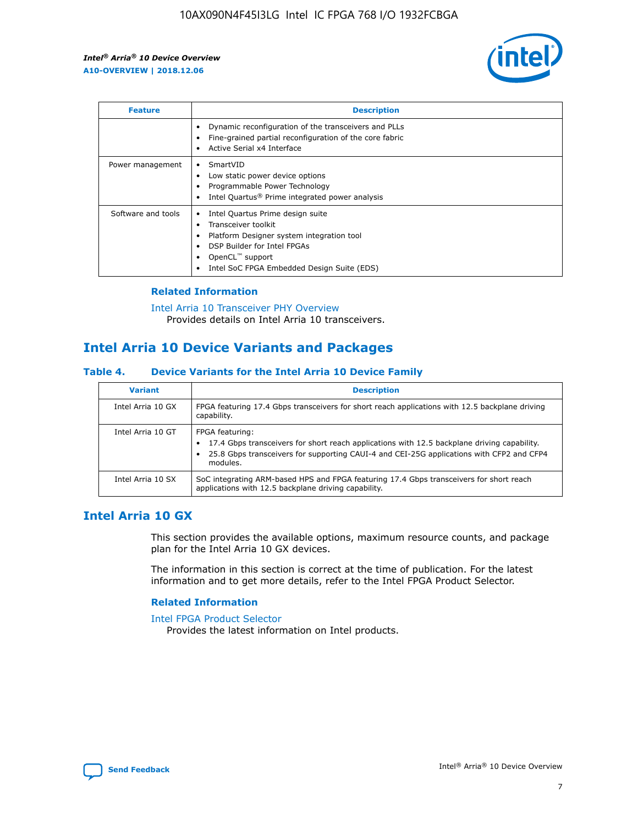

| <b>Feature</b>     | <b>Description</b>                                                                                                                                                                                               |
|--------------------|------------------------------------------------------------------------------------------------------------------------------------------------------------------------------------------------------------------|
|                    | Dynamic reconfiguration of the transceivers and PLLs<br>Fine-grained partial reconfiguration of the core fabric<br>Active Serial x4 Interface<br>$\bullet$                                                       |
| Power management   | SmartVID<br>Low static power device options<br>Programmable Power Technology<br>Intel Quartus <sup>®</sup> Prime integrated power analysis                                                                       |
| Software and tools | Intel Quartus Prime design suite<br>Transceiver toolkit<br>Platform Designer system integration tool<br>DSP Builder for Intel FPGAs<br>OpenCL <sup>™</sup> support<br>Intel SoC FPGA Embedded Design Suite (EDS) |

## **Related Information**

[Intel Arria 10 Transceiver PHY Overview](https://www.intel.com/content/www/us/en/programmable/documentation/nik1398707230472.html#nik1398706768037) Provides details on Intel Arria 10 transceivers.

# **Intel Arria 10 Device Variants and Packages**

#### **Table 4. Device Variants for the Intel Arria 10 Device Family**

| <b>Variant</b>    | <b>Description</b>                                                                                                                                                                                                     |
|-------------------|------------------------------------------------------------------------------------------------------------------------------------------------------------------------------------------------------------------------|
| Intel Arria 10 GX | FPGA featuring 17.4 Gbps transceivers for short reach applications with 12.5 backplane driving<br>capability.                                                                                                          |
| Intel Arria 10 GT | FPGA featuring:<br>17.4 Gbps transceivers for short reach applications with 12.5 backplane driving capability.<br>25.8 Gbps transceivers for supporting CAUI-4 and CEI-25G applications with CFP2 and CFP4<br>modules. |
| Intel Arria 10 SX | SoC integrating ARM-based HPS and FPGA featuring 17.4 Gbps transceivers for short reach<br>applications with 12.5 backplane driving capability.                                                                        |

# **Intel Arria 10 GX**

This section provides the available options, maximum resource counts, and package plan for the Intel Arria 10 GX devices.

The information in this section is correct at the time of publication. For the latest information and to get more details, refer to the Intel FPGA Product Selector.

#### **Related Information**

#### [Intel FPGA Product Selector](http://www.altera.com/products/selector/psg-selector.html) Provides the latest information on Intel products.

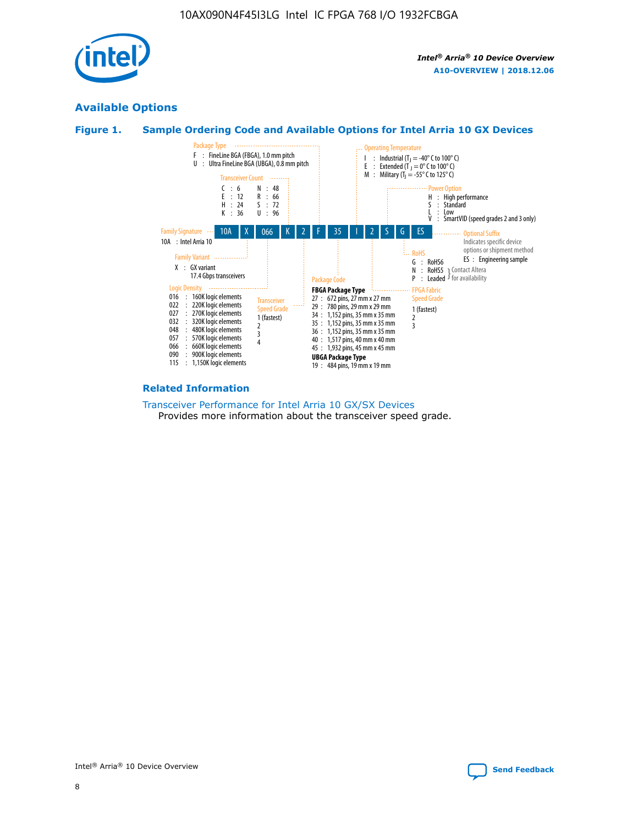

# **Available Options**





#### **Related Information**

[Transceiver Performance for Intel Arria 10 GX/SX Devices](https://www.intel.com/content/www/us/en/programmable/documentation/mcn1413182292568.html#mcn1413213965502) Provides more information about the transceiver speed grade.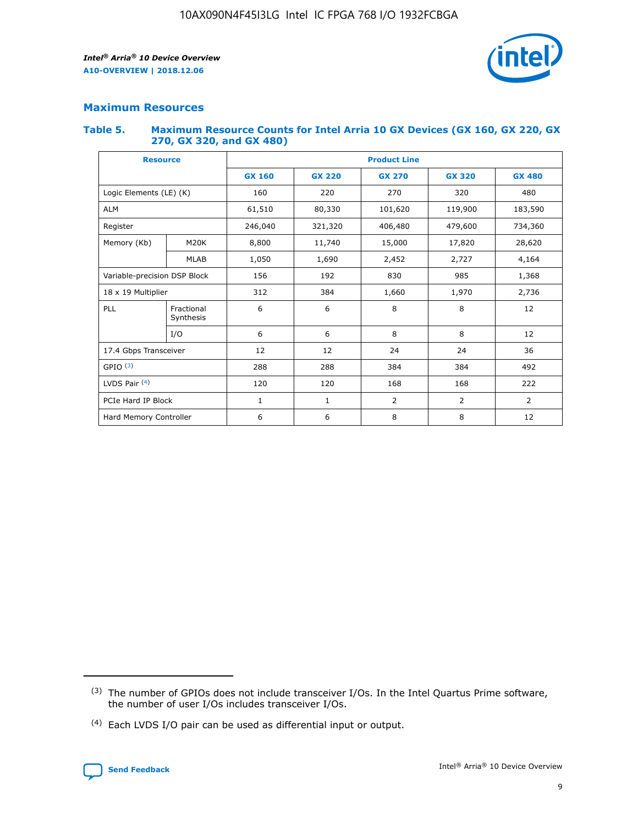

## **Maximum Resources**

#### **Table 5. Maximum Resource Counts for Intel Arria 10 GX Devices (GX 160, GX 220, GX 270, GX 320, and GX 480)**

| <b>Resource</b>              |                         | <b>Product Line</b>      |                                                 |            |                |                |  |  |  |
|------------------------------|-------------------------|--------------------------|-------------------------------------------------|------------|----------------|----------------|--|--|--|
|                              |                         | <b>GX 160</b>            | <b>GX 220</b><br><b>GX 270</b><br><b>GX 320</b> |            |                | <b>GX 480</b>  |  |  |  |
| Logic Elements (LE) (K)      |                         | 160                      | 220                                             | 270        | 320            | 480            |  |  |  |
| <b>ALM</b>                   |                         | 61,510                   | 80,330                                          | 101,620    | 119,900        | 183,590        |  |  |  |
| Register                     |                         | 246,040                  | 321,320                                         | 406,480    | 479,600        | 734,360        |  |  |  |
| Memory (Kb)                  | M <sub>20</sub> K       | 8,800                    | 11,740                                          | 15,000     | 17,820         | 28,620         |  |  |  |
| <b>MLAB</b>                  |                         | 1,050                    | 1,690                                           | 2,452      | 2,727          | 4,164          |  |  |  |
| Variable-precision DSP Block |                         | 156<br>192<br>830<br>985 |                                                 |            |                | 1,368          |  |  |  |
| 18 x 19 Multiplier           |                         | 312                      | 384                                             | 1,660      | 1,970          | 2,736          |  |  |  |
| PLL                          | Fractional<br>Synthesis | 6                        | 6                                               | 8          | 8              | 12             |  |  |  |
|                              | I/O                     | 6                        | 6                                               | 8          | 8              | 12             |  |  |  |
| 17.4 Gbps Transceiver        |                         | 12                       | 12                                              | 24         | 24             |                |  |  |  |
| GPIO <sup>(3)</sup>          |                         | 288                      | 288                                             | 384<br>384 |                | 492            |  |  |  |
| LVDS Pair $(4)$              |                         | 120                      | 120                                             | 168        | 168            | 222            |  |  |  |
| PCIe Hard IP Block           |                         | 1                        | 1                                               | 2          | $\overline{2}$ | $\overline{2}$ |  |  |  |
| Hard Memory Controller       |                         | 6                        | 6                                               | 8          | 8              | 12             |  |  |  |

<sup>(4)</sup> Each LVDS I/O pair can be used as differential input or output.



<sup>(3)</sup> The number of GPIOs does not include transceiver I/Os. In the Intel Quartus Prime software, the number of user I/Os includes transceiver I/Os.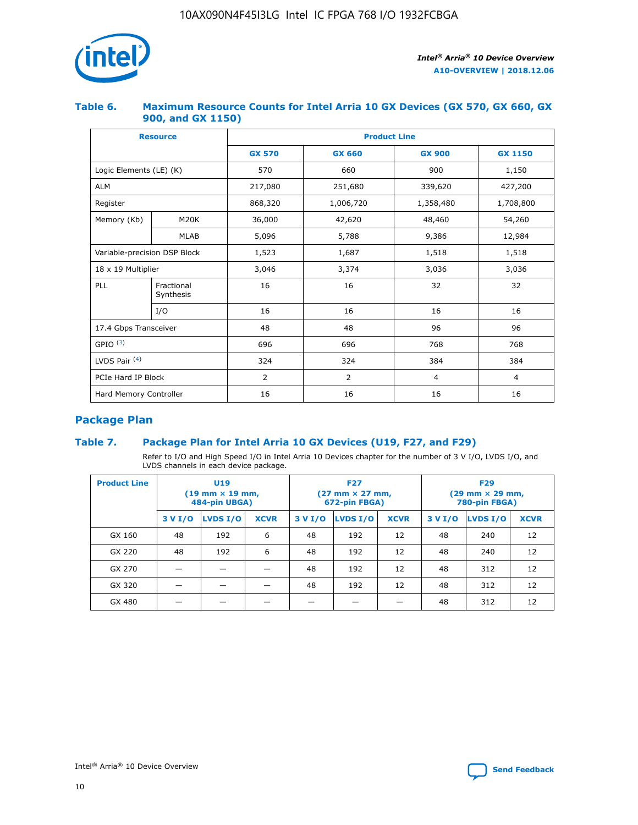

## **Table 6. Maximum Resource Counts for Intel Arria 10 GX Devices (GX 570, GX 660, GX 900, and GX 1150)**

|                              | <b>Resource</b>           | <b>Product Line</b> |                |                |                |  |  |  |
|------------------------------|---------------------------|---------------------|----------------|----------------|----------------|--|--|--|
|                              |                           | <b>GX 570</b>       | <b>GX 660</b>  | <b>GX 900</b>  | <b>GX 1150</b> |  |  |  |
| Logic Elements (LE) (K)      |                           | 570                 | 660            | 900            | 1,150          |  |  |  |
| <b>ALM</b>                   |                           | 217,080             | 251,680        | 339,620        | 427,200        |  |  |  |
| Register                     |                           | 868,320             | 1,006,720      | 1,358,480      | 1,708,800      |  |  |  |
| Memory (Kb)                  | <b>M20K</b>               | 36,000              | 42,620         | 48,460         | 54,260         |  |  |  |
|                              | <b>MLAB</b>               | 5,096               | 5,788          | 9,386          | 12,984         |  |  |  |
| Variable-precision DSP Block |                           | 1,523               | 1,687          | 1,518          | 1,518          |  |  |  |
|                              | $18 \times 19$ Multiplier |                     | 3,374          | 3,036          | 3,036          |  |  |  |
| PLL                          | Fractional<br>Synthesis   | 16                  | 16             | 32             | 32             |  |  |  |
|                              | I/O                       | 16                  | 16             | 16             | 16             |  |  |  |
| 17.4 Gbps Transceiver        |                           | 48                  | 96<br>48       |                | 96             |  |  |  |
| GPIO <sup>(3)</sup>          |                           | 696                 | 696            | 768            | 768            |  |  |  |
| LVDS Pair $(4)$              |                           | 324                 | 324            | 384            | 384            |  |  |  |
| PCIe Hard IP Block           |                           | $\overline{2}$      | $\overline{2}$ | $\overline{4}$ | $\overline{4}$ |  |  |  |
| Hard Memory Controller       |                           | 16                  | 16             | 16             | 16             |  |  |  |

# **Package Plan**

# **Table 7. Package Plan for Intel Arria 10 GX Devices (U19, F27, and F29)**

Refer to I/O and High Speed I/O in Intel Arria 10 Devices chapter for the number of 3 V I/O, LVDS I/O, and LVDS channels in each device package.

| <b>Product Line</b> | U <sub>19</sub><br>$(19 \text{ mm} \times 19 \text{ mm})$<br>484-pin UBGA) |          |             |         | <b>F27</b><br>(27 mm × 27 mm,<br>672-pin FBGA) |             | <b>F29</b><br>(29 mm × 29 mm,<br>780-pin FBGA) |          |             |  |
|---------------------|----------------------------------------------------------------------------|----------|-------------|---------|------------------------------------------------|-------------|------------------------------------------------|----------|-------------|--|
|                     | 3 V I/O                                                                    | LVDS I/O | <b>XCVR</b> | 3 V I/O | <b>LVDS I/O</b>                                | <b>XCVR</b> | 3 V I/O                                        | LVDS I/O | <b>XCVR</b> |  |
| GX 160              | 48                                                                         | 192      | 6           | 48      | 192                                            | 12          | 48                                             | 240      | 12          |  |
| GX 220              | 48                                                                         | 192      | 6           | 48      | 192                                            | 12          | 48                                             | 240      | 12          |  |
| GX 270              |                                                                            |          |             | 48      | 192                                            | 12          | 48                                             | 312      | 12          |  |
| GX 320              |                                                                            |          |             | 48      | 192                                            | 12          | 48                                             | 312      | 12          |  |
| GX 480              |                                                                            |          |             |         |                                                |             | 48                                             | 312      | 12          |  |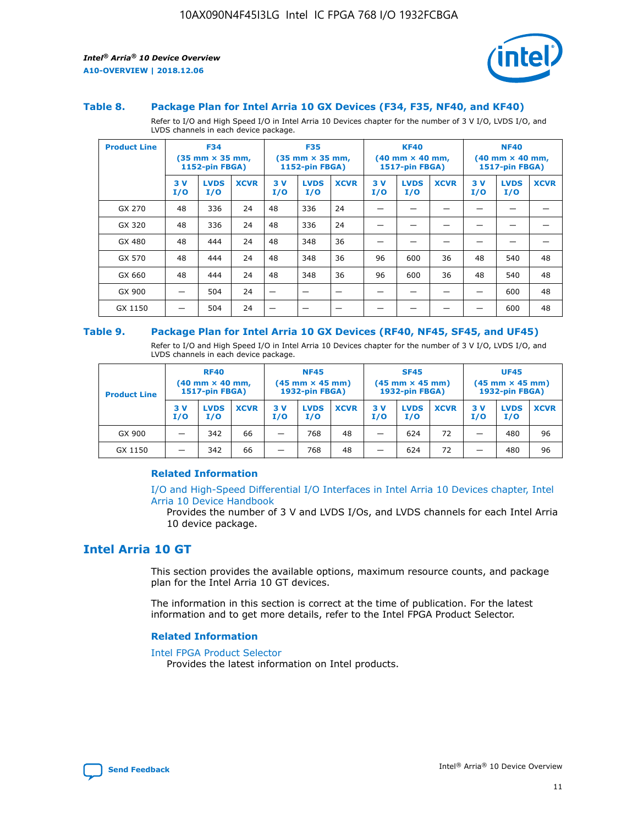

#### **Table 8. Package Plan for Intel Arria 10 GX Devices (F34, F35, NF40, and KF40)**

Refer to I/O and High Speed I/O in Intel Arria 10 Devices chapter for the number of 3 V I/O, LVDS I/O, and LVDS channels in each device package.

| <b>Product Line</b> | <b>F34</b><br>$(35 \text{ mm} \times 35 \text{ mm})$<br>1152-pin FBGA) |                    | <b>F35</b><br>$(35 \text{ mm} \times 35 \text{ mm})$<br><b>1152-pin FBGA)</b> |           | <b>KF40</b><br>$(40 \text{ mm} \times 40 \text{ mm})$<br>1517-pin FBGA) |             |            | <b>NF40</b><br>$(40 \text{ mm} \times 40 \text{ mm})$<br><b>1517-pin FBGA)</b> |             |            |                    |             |
|---------------------|------------------------------------------------------------------------|--------------------|-------------------------------------------------------------------------------|-----------|-------------------------------------------------------------------------|-------------|------------|--------------------------------------------------------------------------------|-------------|------------|--------------------|-------------|
|                     | 3V<br>I/O                                                              | <b>LVDS</b><br>I/O | <b>XCVR</b>                                                                   | 3V<br>I/O | <b>LVDS</b><br>I/O                                                      | <b>XCVR</b> | 3 V<br>I/O | <b>LVDS</b><br>I/O                                                             | <b>XCVR</b> | 3 V<br>I/O | <b>LVDS</b><br>I/O | <b>XCVR</b> |
| GX 270              | 48                                                                     | 336                | 24                                                                            | 48        | 336                                                                     | 24          |            |                                                                                |             |            |                    |             |
| GX 320              | 48                                                                     | 336                | 24                                                                            | 48        | 336                                                                     | 24          |            |                                                                                |             |            |                    |             |
| GX 480              | 48                                                                     | 444                | 24                                                                            | 48        | 348                                                                     | 36          |            |                                                                                |             |            |                    |             |
| GX 570              | 48                                                                     | 444                | 24                                                                            | 48        | 348                                                                     | 36          | 96         | 600                                                                            | 36          | 48         | 540                | 48          |
| GX 660              | 48                                                                     | 444                | 24                                                                            | 48        | 348                                                                     | 36          | 96         | 600                                                                            | 36          | 48         | 540                | 48          |
| GX 900              |                                                                        | 504                | 24                                                                            | -         |                                                                         |             |            |                                                                                |             |            | 600                | 48          |
| GX 1150             |                                                                        | 504                | 24                                                                            |           |                                                                         |             |            |                                                                                |             |            | 600                | 48          |

#### **Table 9. Package Plan for Intel Arria 10 GX Devices (RF40, NF45, SF45, and UF45)**

Refer to I/O and High Speed I/O in Intel Arria 10 Devices chapter for the number of 3 V I/O, LVDS I/O, and LVDS channels in each device package.

| <b>Product Line</b> | <b>RF40</b><br>$(40$ mm $\times$ 40 mm,<br>1517-pin FBGA) |                    | <b>NF45</b><br>$(45 \text{ mm} \times 45 \text{ mm})$<br><b>1932-pin FBGA)</b> |            |                    | <b>SF45</b><br>$(45 \text{ mm} \times 45 \text{ mm})$<br><b>1932-pin FBGA)</b> |            |                    | <b>UF45</b><br>$(45 \text{ mm} \times 45 \text{ mm})$<br><b>1932-pin FBGA)</b> |           |                    |             |
|---------------------|-----------------------------------------------------------|--------------------|--------------------------------------------------------------------------------|------------|--------------------|--------------------------------------------------------------------------------|------------|--------------------|--------------------------------------------------------------------------------|-----------|--------------------|-------------|
|                     | 3V<br>I/O                                                 | <b>LVDS</b><br>I/O | <b>XCVR</b>                                                                    | 3 V<br>I/O | <b>LVDS</b><br>I/O | <b>XCVR</b>                                                                    | 3 V<br>I/O | <b>LVDS</b><br>I/O | <b>XCVR</b>                                                                    | 3V<br>I/O | <b>LVDS</b><br>I/O | <b>XCVR</b> |
| GX 900              |                                                           | 342                | 66                                                                             | _          | 768                | 48                                                                             |            | 624                | 72                                                                             |           | 480                | 96          |
| GX 1150             |                                                           | 342                | 66                                                                             | _          | 768                | 48                                                                             |            | 624                | 72                                                                             |           | 480                | 96          |

#### **Related Information**

[I/O and High-Speed Differential I/O Interfaces in Intel Arria 10 Devices chapter, Intel](https://www.intel.com/content/www/us/en/programmable/documentation/sam1403482614086.html#sam1403482030321) [Arria 10 Device Handbook](https://www.intel.com/content/www/us/en/programmable/documentation/sam1403482614086.html#sam1403482030321)

Provides the number of 3 V and LVDS I/Os, and LVDS channels for each Intel Arria 10 device package.

# **Intel Arria 10 GT**

This section provides the available options, maximum resource counts, and package plan for the Intel Arria 10 GT devices.

The information in this section is correct at the time of publication. For the latest information and to get more details, refer to the Intel FPGA Product Selector.

#### **Related Information**

#### [Intel FPGA Product Selector](http://www.altera.com/products/selector/psg-selector.html)

Provides the latest information on Intel products.

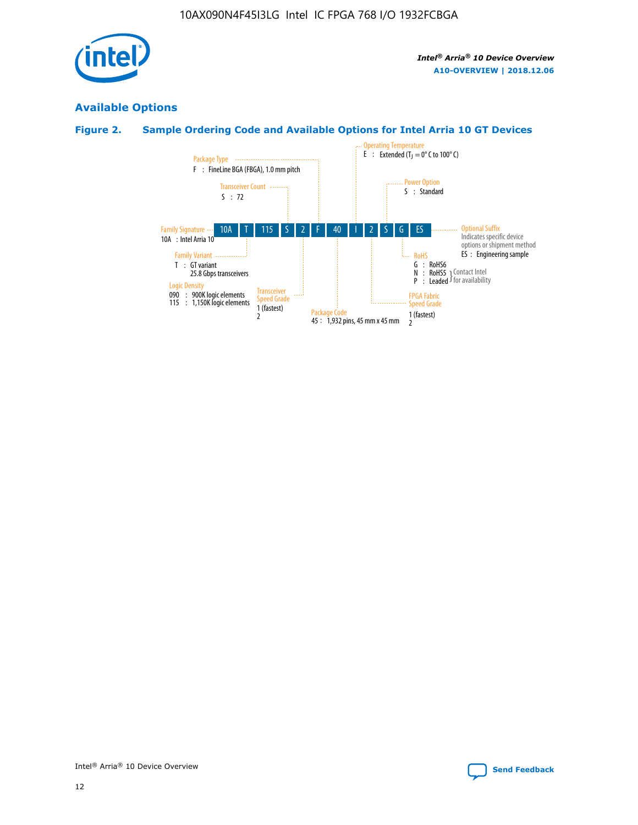

# **Available Options**

# **Figure 2. Sample Ordering Code and Available Options for Intel Arria 10 GT Devices**

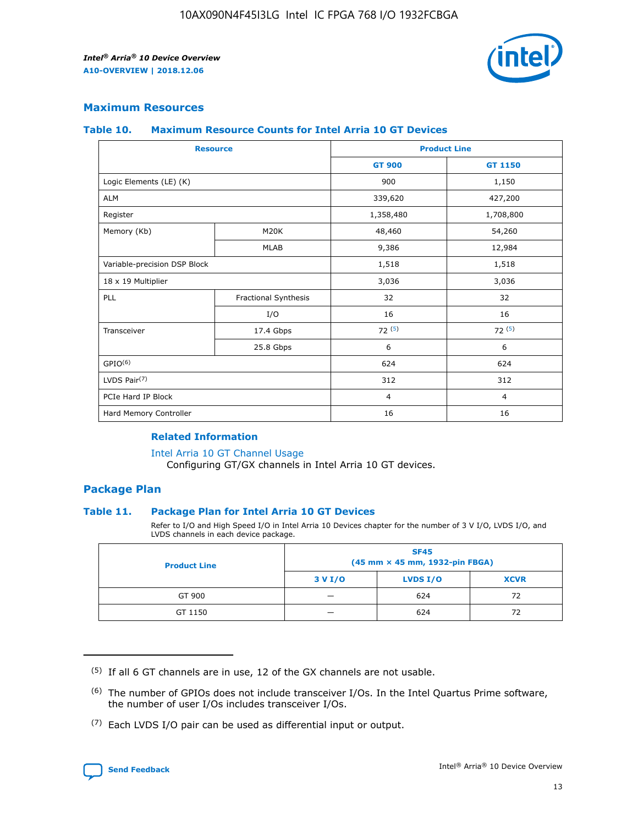

## **Maximum Resources**

#### **Table 10. Maximum Resource Counts for Intel Arria 10 GT Devices**

|                              | <b>Resource</b>      | <b>Product Line</b> |                |  |
|------------------------------|----------------------|---------------------|----------------|--|
|                              |                      | <b>GT 900</b>       | GT 1150        |  |
| Logic Elements (LE) (K)      |                      | 900                 | 1,150          |  |
| <b>ALM</b>                   |                      | 339,620             | 427,200        |  |
| Register                     |                      | 1,358,480           | 1,708,800      |  |
| Memory (Kb)                  | M20K                 | 48,460              | 54,260         |  |
|                              | <b>MLAB</b>          | 9,386               | 12,984         |  |
| Variable-precision DSP Block |                      | 1,518               | 1,518          |  |
| 18 x 19 Multiplier           |                      | 3,036               | 3,036          |  |
| PLL                          | Fractional Synthesis | 32                  | 32             |  |
|                              | I/O                  | 16                  | 16             |  |
| Transceiver                  | 17.4 Gbps            | 72(5)               | 72(5)          |  |
|                              | 25.8 Gbps            | 6                   | 6              |  |
| GPIO <sup>(6)</sup>          |                      | 624                 | 624            |  |
| LVDS Pair $(7)$              |                      | 312                 | 312            |  |
| PCIe Hard IP Block           |                      | $\overline{4}$      | $\overline{4}$ |  |
| Hard Memory Controller       |                      | 16                  | 16             |  |

#### **Related Information**

#### [Intel Arria 10 GT Channel Usage](https://www.intel.com/content/www/us/en/programmable/documentation/nik1398707230472.html#nik1398707008178)

Configuring GT/GX channels in Intel Arria 10 GT devices.

## **Package Plan**

#### **Table 11. Package Plan for Intel Arria 10 GT Devices**

Refer to I/O and High Speed I/O in Intel Arria 10 Devices chapter for the number of 3 V I/O, LVDS I/O, and LVDS channels in each device package.

| <b>Product Line</b> | <b>SF45</b><br>(45 mm × 45 mm, 1932-pin FBGA) |                 |             |  |  |  |
|---------------------|-----------------------------------------------|-----------------|-------------|--|--|--|
|                     | 3 V I/O                                       | <b>LVDS I/O</b> | <b>XCVR</b> |  |  |  |
| GT 900              |                                               | 624             | 72          |  |  |  |
| GT 1150             |                                               | 624             | 72          |  |  |  |

<sup>(7)</sup> Each LVDS I/O pair can be used as differential input or output.



 $(5)$  If all 6 GT channels are in use, 12 of the GX channels are not usable.

<sup>(6)</sup> The number of GPIOs does not include transceiver I/Os. In the Intel Quartus Prime software, the number of user I/Os includes transceiver I/Os.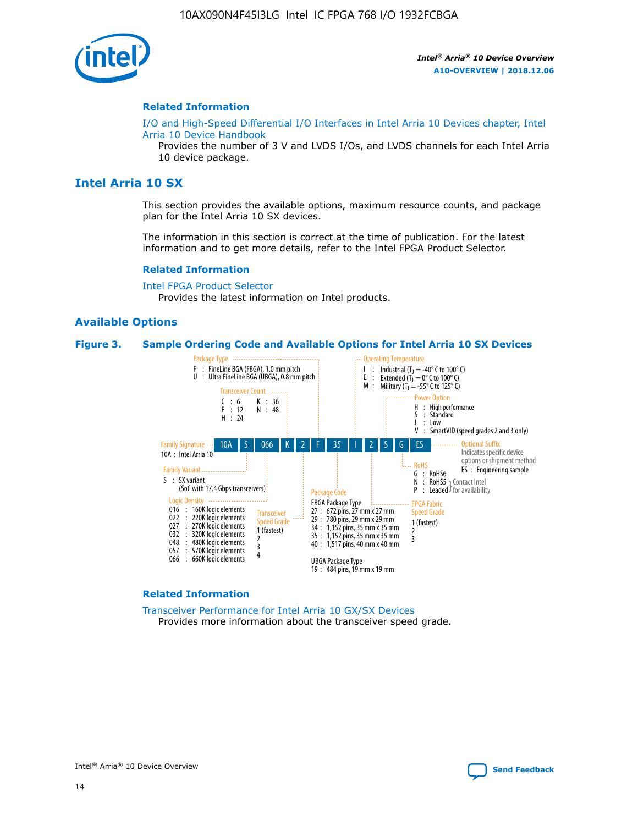

#### **Related Information**

[I/O and High-Speed Differential I/O Interfaces in Intel Arria 10 Devices chapter, Intel](https://www.intel.com/content/www/us/en/programmable/documentation/sam1403482614086.html#sam1403482030321) [Arria 10 Device Handbook](https://www.intel.com/content/www/us/en/programmable/documentation/sam1403482614086.html#sam1403482030321)

Provides the number of 3 V and LVDS I/Os, and LVDS channels for each Intel Arria 10 device package.

# **Intel Arria 10 SX**

This section provides the available options, maximum resource counts, and package plan for the Intel Arria 10 SX devices.

The information in this section is correct at the time of publication. For the latest information and to get more details, refer to the Intel FPGA Product Selector.

#### **Related Information**

[Intel FPGA Product Selector](http://www.altera.com/products/selector/psg-selector.html) Provides the latest information on Intel products.

#### **Available Options**

#### **Figure 3. Sample Ordering Code and Available Options for Intel Arria 10 SX Devices**



#### **Related Information**

[Transceiver Performance for Intel Arria 10 GX/SX Devices](https://www.intel.com/content/www/us/en/programmable/documentation/mcn1413182292568.html#mcn1413213965502) Provides more information about the transceiver speed grade.

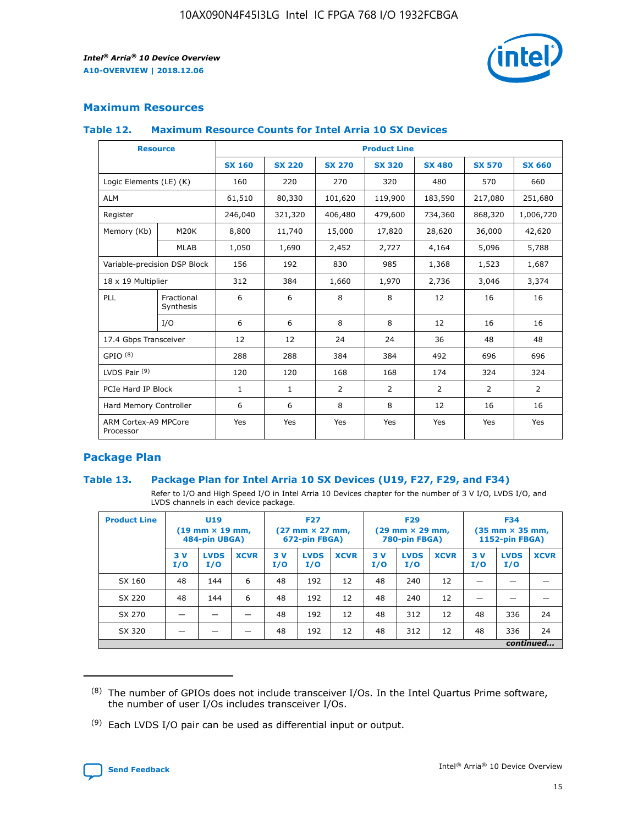

# **Maximum Resources**

#### **Table 12. Maximum Resource Counts for Intel Arria 10 SX Devices**

|                                   | <b>Resource</b>         | <b>Product Line</b> |               |                |                |                |                |                |  |  |  |
|-----------------------------------|-------------------------|---------------------|---------------|----------------|----------------|----------------|----------------|----------------|--|--|--|
|                                   |                         | <b>SX 160</b>       | <b>SX 220</b> | <b>SX 270</b>  | <b>SX 320</b>  | <b>SX 480</b>  | <b>SX 570</b>  | <b>SX 660</b>  |  |  |  |
| Logic Elements (LE) (K)           |                         | 160                 | 220           | 270            | 320            | 480            | 570            | 660            |  |  |  |
| <b>ALM</b>                        |                         | 61,510              | 80,330        | 101,620        | 119,900        | 183,590        | 217,080        | 251,680        |  |  |  |
| Register                          |                         | 246,040             | 321,320       | 406,480        | 479,600        | 734,360        | 868,320        | 1,006,720      |  |  |  |
| Memory (Kb)                       | M <sub>20</sub> K       | 8,800               | 11,740        | 15,000         | 17,820         | 28,620         | 36,000         | 42,620         |  |  |  |
|                                   | <b>MLAB</b>             | 1,050               | 1,690         | 2,452          | 2,727          | 4,164          | 5,096          | 5,788          |  |  |  |
| Variable-precision DSP Block      |                         | 156                 | 192           | 830            | 985            | 1,368          | 1,523          | 1,687          |  |  |  |
| 18 x 19 Multiplier                |                         | 312                 | 384           | 1,660          | 1,970          | 2,736          | 3,046          | 3,374          |  |  |  |
| <b>PLL</b>                        | Fractional<br>Synthesis | 6                   | 6             | 8              | 8              | 12             | 16             | 16             |  |  |  |
|                                   | I/O                     | 6                   | 6             | 8              | 8              | 12             | 16             | 16             |  |  |  |
| 17.4 Gbps Transceiver             |                         | 12                  | 12            | 24             | 24             | 36             | 48             | 48             |  |  |  |
| GPIO <sup>(8)</sup>               |                         | 288                 | 288           | 384            | 384            | 492            | 696            | 696            |  |  |  |
| LVDS Pair $(9)$                   |                         | 120                 | 120           | 168            | 168            | 174            | 324            | 324            |  |  |  |
| PCIe Hard IP Block                |                         | $\mathbf{1}$        | $\mathbf{1}$  | $\overline{2}$ | $\overline{2}$ | $\overline{2}$ | $\overline{2}$ | $\overline{2}$ |  |  |  |
| Hard Memory Controller            |                         | 6                   | 6             | 8              | 8              | 12             | 16             | 16             |  |  |  |
| ARM Cortex-A9 MPCore<br>Processor |                         | Yes                 | Yes           | Yes            | Yes            | Yes            | Yes            | Yes            |  |  |  |

# **Package Plan**

#### **Table 13. Package Plan for Intel Arria 10 SX Devices (U19, F27, F29, and F34)**

Refer to I/O and High Speed I/O in Intel Arria 10 Devices chapter for the number of 3 V I/O, LVDS I/O, and LVDS channels in each device package.

| <b>Product Line</b> | <b>U19</b><br>$(19 \text{ mm} \times 19 \text{ mm})$<br>484-pin UBGA) |                    |             | <b>F27</b><br>$(27 \text{ mm} \times 27 \text{ mm})$<br>672-pin FBGA) |                    | <b>F29</b><br>$(29 \text{ mm} \times 29 \text{ mm})$<br>780-pin FBGA) |           |                    | <b>F34</b><br>$(35 \text{ mm} \times 35 \text{ mm})$<br><b>1152-pin FBGA)</b> |           |                    |             |
|---------------------|-----------------------------------------------------------------------|--------------------|-------------|-----------------------------------------------------------------------|--------------------|-----------------------------------------------------------------------|-----------|--------------------|-------------------------------------------------------------------------------|-----------|--------------------|-------------|
|                     | 3V<br>I/O                                                             | <b>LVDS</b><br>I/O | <b>XCVR</b> | 3V<br>I/O                                                             | <b>LVDS</b><br>I/O | <b>XCVR</b>                                                           | 3V<br>I/O | <b>LVDS</b><br>I/O | <b>XCVR</b>                                                                   | 3V<br>I/O | <b>LVDS</b><br>I/O | <b>XCVR</b> |
| SX 160              | 48                                                                    | 144                | 6           | 48                                                                    | 192                | 12                                                                    | 48        | 240                | 12                                                                            | -         |                    |             |
| SX 220              | 48                                                                    | 144                | 6           | 48                                                                    | 192                | 12                                                                    | 48        | 240                | 12                                                                            |           |                    |             |
| SX 270              |                                                                       |                    |             | 48                                                                    | 192                | 12                                                                    | 48        | 312                | 12                                                                            | 48        | 336                | 24          |
| SX 320              |                                                                       |                    |             | 48                                                                    | 192                | 12                                                                    | 48        | 312                | 12                                                                            | 48        | 336                | 24          |
|                     | continued                                                             |                    |             |                                                                       |                    |                                                                       |           |                    |                                                                               |           |                    |             |

 $(8)$  The number of GPIOs does not include transceiver I/Os. In the Intel Quartus Prime software, the number of user I/Os includes transceiver I/Os.

 $(9)$  Each LVDS I/O pair can be used as differential input or output.

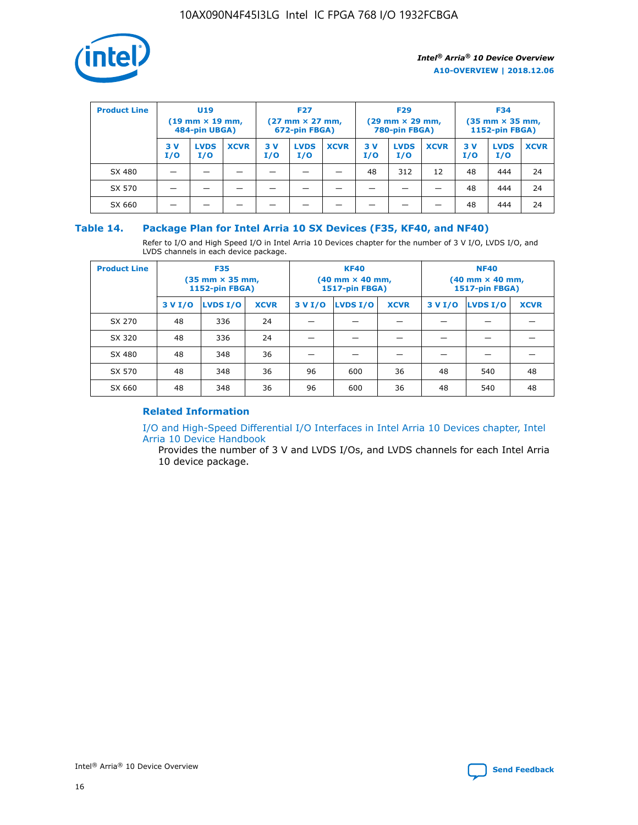

| <b>Product Line</b> | U <sub>19</sub><br>$(19 \text{ mm} \times 19 \text{ mm})$<br>484-pin UBGA) |                    | <b>F27</b><br>$(27 \text{ mm} \times 27 \text{ mm})$<br>672-pin FBGA) |           | <b>F29</b><br>$(29 \text{ mm} \times 29 \text{ mm})$<br>780-pin FBGA) |             |           | <b>F34</b><br>$(35 \text{ mm} \times 35 \text{ mm})$<br><b>1152-pin FBGA)</b> |             |           |                    |             |
|---------------------|----------------------------------------------------------------------------|--------------------|-----------------------------------------------------------------------|-----------|-----------------------------------------------------------------------|-------------|-----------|-------------------------------------------------------------------------------|-------------|-----------|--------------------|-------------|
|                     | 3 V<br>I/O                                                                 | <b>LVDS</b><br>I/O | <b>XCVR</b>                                                           | 3V<br>I/O | <b>LVDS</b><br>I/O                                                    | <b>XCVR</b> | 3V<br>I/O | <b>LVDS</b><br>I/O                                                            | <b>XCVR</b> | 3V<br>I/O | <b>LVDS</b><br>I/O | <b>XCVR</b> |
| SX 480              |                                                                            |                    |                                                                       |           |                                                                       |             | 48        | 312                                                                           | 12          | 48        | 444                | 24          |
| SX 570              |                                                                            |                    |                                                                       |           |                                                                       |             |           |                                                                               |             | 48        | 444                | 24          |
| SX 660              |                                                                            |                    |                                                                       |           |                                                                       |             |           |                                                                               |             | 48        | 444                | 24          |

## **Table 14. Package Plan for Intel Arria 10 SX Devices (F35, KF40, and NF40)**

Refer to I/O and High Speed I/O in Intel Arria 10 Devices chapter for the number of 3 V I/O, LVDS I/O, and LVDS channels in each device package.

| <b>Product Line</b> | <b>F35</b><br>(35 mm × 35 mm,<br><b>1152-pin FBGA)</b> |          |             |                                           | <b>KF40</b><br>(40 mm × 40 mm,<br>1517-pin FBGA) |    | <b>NF40</b><br>$(40 \text{ mm} \times 40 \text{ mm})$<br>1517-pin FBGA) |          |             |  |
|---------------------|--------------------------------------------------------|----------|-------------|-------------------------------------------|--------------------------------------------------|----|-------------------------------------------------------------------------|----------|-------------|--|
|                     | 3 V I/O                                                | LVDS I/O | <b>XCVR</b> | <b>LVDS I/O</b><br>3 V I/O<br><b>XCVR</b> |                                                  |    | 3 V I/O                                                                 | LVDS I/O | <b>XCVR</b> |  |
| SX 270              | 48                                                     | 336      | 24          |                                           |                                                  |    |                                                                         |          |             |  |
| SX 320              | 48                                                     | 336      | 24          |                                           |                                                  |    |                                                                         |          |             |  |
| SX 480              | 48                                                     | 348      | 36          |                                           |                                                  |    |                                                                         |          |             |  |
| SX 570              | 48                                                     | 348      | 36          | 96                                        | 600                                              | 36 | 48                                                                      | 540      | 48          |  |
| SX 660              | 48                                                     | 348      | 36          | 96                                        | 600                                              | 36 | 48                                                                      | 540      | 48          |  |

# **Related Information**

[I/O and High-Speed Differential I/O Interfaces in Intel Arria 10 Devices chapter, Intel](https://www.intel.com/content/www/us/en/programmable/documentation/sam1403482614086.html#sam1403482030321) [Arria 10 Device Handbook](https://www.intel.com/content/www/us/en/programmable/documentation/sam1403482614086.html#sam1403482030321)

Provides the number of 3 V and LVDS I/Os, and LVDS channels for each Intel Arria 10 device package.

Intel<sup>®</sup> Arria<sup>®</sup> 10 Device Overview **[Send Feedback](mailto:FPGAtechdocfeedback@intel.com?subject=Feedback%20on%20Intel%20Arria%2010%20Device%20Overview%20(A10-OVERVIEW%202018.12.06)&body=We%20appreciate%20your%20feedback.%20In%20your%20comments,%20also%20specify%20the%20page%20number%20or%20paragraph.%20Thank%20you.)** Send Feedback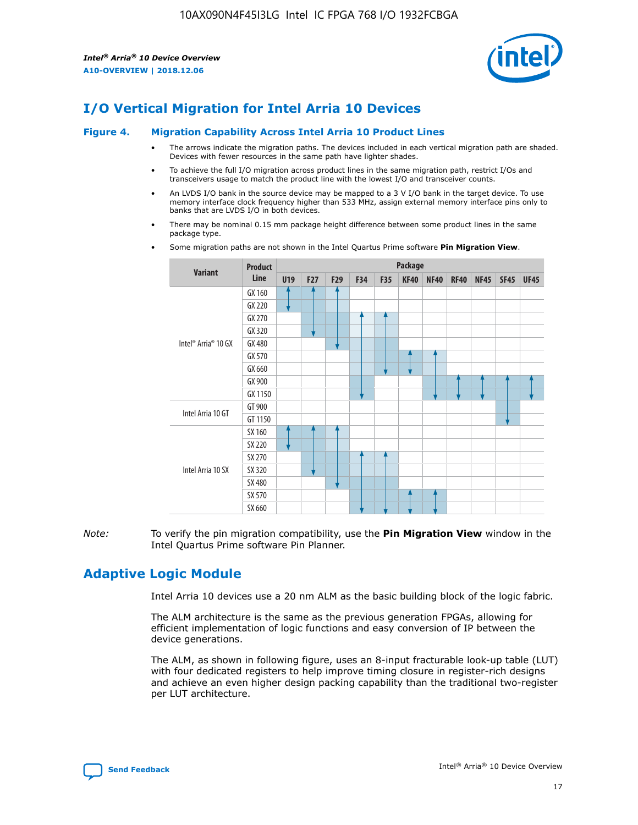

# **I/O Vertical Migration for Intel Arria 10 Devices**

#### **Figure 4. Migration Capability Across Intel Arria 10 Product Lines**

- The arrows indicate the migration paths. The devices included in each vertical migration path are shaded. Devices with fewer resources in the same path have lighter shades.
- To achieve the full I/O migration across product lines in the same migration path, restrict I/Os and transceivers usage to match the product line with the lowest I/O and transceiver counts.
- An LVDS I/O bank in the source device may be mapped to a 3 V I/O bank in the target device. To use memory interface clock frequency higher than 533 MHz, assign external memory interface pins only to banks that are LVDS I/O in both devices.
- There may be nominal 0.15 mm package height difference between some product lines in the same package type.
	- **Variant Product Line Package U19 F27 F29 F34 F35 KF40 NF40 RF40 NF45 SF45 UF45** Intel® Arria® 10 GX GX 160 GX 220 GX 270 GX 320 GX 480 GX 570 GX 660 GX 900 GX 1150 Intel Arria 10 GT GT 900 GT 1150 Intel Arria 10 SX SX 160 SX 220 SX 270 SX 320 SX 480 SX 570 SX 660
- Some migration paths are not shown in the Intel Quartus Prime software **Pin Migration View**.

*Note:* To verify the pin migration compatibility, use the **Pin Migration View** window in the Intel Quartus Prime software Pin Planner.

# **Adaptive Logic Module**

Intel Arria 10 devices use a 20 nm ALM as the basic building block of the logic fabric.

The ALM architecture is the same as the previous generation FPGAs, allowing for efficient implementation of logic functions and easy conversion of IP between the device generations.

The ALM, as shown in following figure, uses an 8-input fracturable look-up table (LUT) with four dedicated registers to help improve timing closure in register-rich designs and achieve an even higher design packing capability than the traditional two-register per LUT architecture.

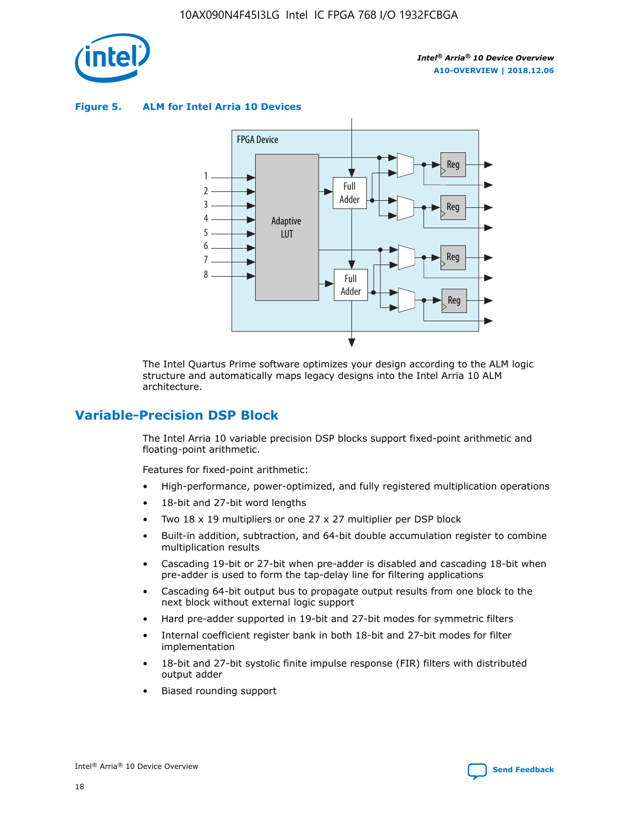

**Figure 5. ALM for Intel Arria 10 Devices**



The Intel Quartus Prime software optimizes your design according to the ALM logic structure and automatically maps legacy designs into the Intel Arria 10 ALM architecture.

# **Variable-Precision DSP Block**

The Intel Arria 10 variable precision DSP blocks support fixed-point arithmetic and floating-point arithmetic.

Features for fixed-point arithmetic:

- High-performance, power-optimized, and fully registered multiplication operations
- 18-bit and 27-bit word lengths
- Two 18 x 19 multipliers or one 27 x 27 multiplier per DSP block
- Built-in addition, subtraction, and 64-bit double accumulation register to combine multiplication results
- Cascading 19-bit or 27-bit when pre-adder is disabled and cascading 18-bit when pre-adder is used to form the tap-delay line for filtering applications
- Cascading 64-bit output bus to propagate output results from one block to the next block without external logic support
- Hard pre-adder supported in 19-bit and 27-bit modes for symmetric filters
- Internal coefficient register bank in both 18-bit and 27-bit modes for filter implementation
- 18-bit and 27-bit systolic finite impulse response (FIR) filters with distributed output adder
- Biased rounding support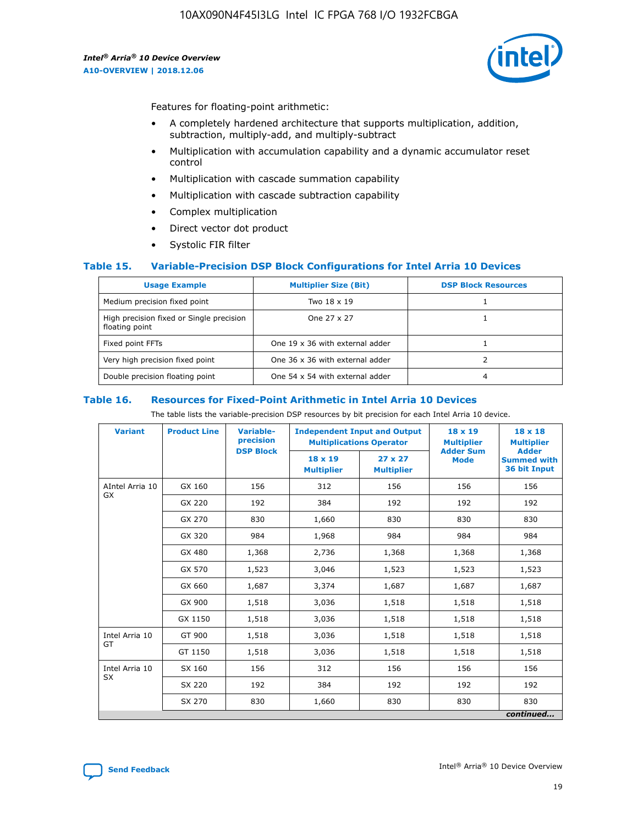

Features for floating-point arithmetic:

- A completely hardened architecture that supports multiplication, addition, subtraction, multiply-add, and multiply-subtract
- Multiplication with accumulation capability and a dynamic accumulator reset control
- Multiplication with cascade summation capability
- Multiplication with cascade subtraction capability
- Complex multiplication
- Direct vector dot product
- Systolic FIR filter

#### **Table 15. Variable-Precision DSP Block Configurations for Intel Arria 10 Devices**

| <b>Usage Example</b>                                       | <b>Multiplier Size (Bit)</b>    | <b>DSP Block Resources</b> |
|------------------------------------------------------------|---------------------------------|----------------------------|
| Medium precision fixed point                               | Two 18 x 19                     |                            |
| High precision fixed or Single precision<br>floating point | One 27 x 27                     |                            |
| Fixed point FFTs                                           | One 19 x 36 with external adder |                            |
| Very high precision fixed point                            | One 36 x 36 with external adder |                            |
| Double precision floating point                            | One 54 x 54 with external adder | 4                          |

#### **Table 16. Resources for Fixed-Point Arithmetic in Intel Arria 10 Devices**

The table lists the variable-precision DSP resources by bit precision for each Intel Arria 10 device.

| <b>Variant</b>  | <b>Product Line</b> | <b>Variable-</b><br>precision<br><b>DSP Block</b> | <b>Independent Input and Output</b><br><b>Multiplications Operator</b> |                                     | 18 x 19<br><b>Multiplier</b><br><b>Adder Sum</b> | $18 \times 18$<br><b>Multiplier</b><br><b>Adder</b> |
|-----------------|---------------------|---------------------------------------------------|------------------------------------------------------------------------|-------------------------------------|--------------------------------------------------|-----------------------------------------------------|
|                 |                     |                                                   | 18 x 19<br><b>Multiplier</b>                                           | $27 \times 27$<br><b>Multiplier</b> | <b>Mode</b>                                      | <b>Summed with</b><br>36 bit Input                  |
| AIntel Arria 10 | GX 160              | 156                                               | 312                                                                    | 156                                 | 156                                              | 156                                                 |
| GX              | GX 220              | 192                                               | 384                                                                    | 192                                 | 192                                              | 192                                                 |
|                 | GX 270              | 830                                               | 1,660                                                                  | 830                                 | 830                                              | 830                                                 |
|                 | GX 320              | 984                                               | 1,968                                                                  | 984                                 | 984                                              | 984                                                 |
|                 | GX 480              | 1,368                                             | 2,736                                                                  | 1,368                               | 1,368                                            | 1,368                                               |
|                 | GX 570              | 1,523                                             | 3,046                                                                  | 1,523                               | 1,523                                            | 1,523                                               |
|                 | GX 660              | 1,687                                             | 3,374                                                                  | 1,687                               | 1,687                                            | 1,687                                               |
|                 | GX 900              | 1,518                                             | 3,036                                                                  | 1,518                               | 1,518                                            | 1,518                                               |
|                 | GX 1150             | 1,518                                             | 3,036                                                                  | 1,518                               | 1,518                                            | 1,518                                               |
| Intel Arria 10  | GT 900              | 1,518                                             | 3,036                                                                  | 1,518                               | 1,518                                            | 1,518                                               |
| GT              | GT 1150             | 1,518                                             | 3,036                                                                  | 1,518                               | 1,518                                            | 1,518                                               |
| Intel Arria 10  | SX 160              | 156                                               | 312                                                                    | 156                                 | 156                                              | 156                                                 |
| <b>SX</b>       | SX 220              | 192                                               | 384                                                                    | 192                                 | 192                                              | 192                                                 |
|                 | SX 270              | 830                                               | 1,660                                                                  | 830                                 | 830                                              | 830                                                 |
|                 |                     |                                                   |                                                                        |                                     |                                                  | continued                                           |

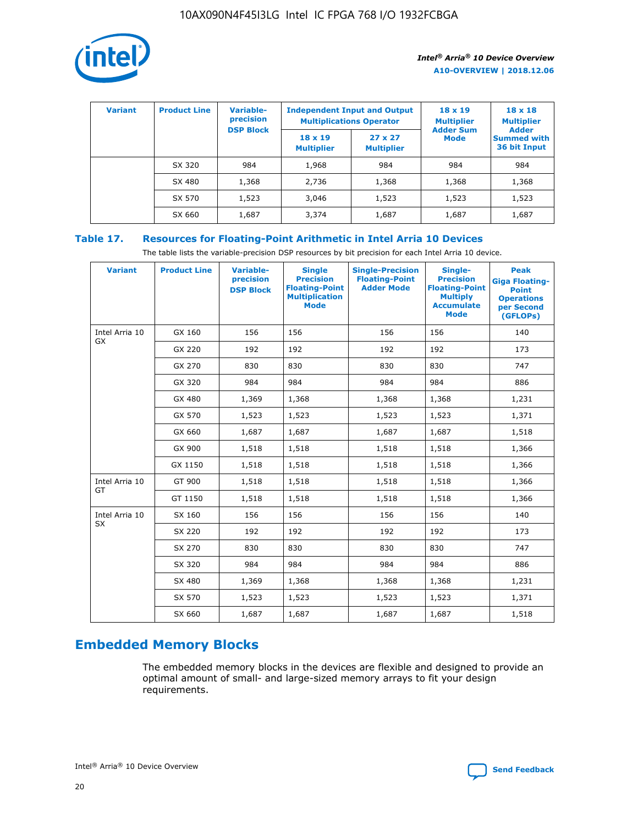

| <b>Variant</b> | <b>Product Line</b> | Variable-<br>precision | <b>Independent Input and Output</b><br><b>Multiplications Operator</b> |                                     | $18 \times 19$<br><b>Multiplier</b> | $18 \times 18$<br><b>Multiplier</b><br><b>Adder</b> |  |
|----------------|---------------------|------------------------|------------------------------------------------------------------------|-------------------------------------|-------------------------------------|-----------------------------------------------------|--|
|                |                     | <b>DSP Block</b>       | $18 \times 19$<br><b>Multiplier</b>                                    | $27 \times 27$<br><b>Multiplier</b> | <b>Adder Sum</b><br><b>Mode</b>     | <b>Summed with</b><br>36 bit Input                  |  |
|                | SX 320              | 984                    | 1,968                                                                  | 984                                 | 984                                 | 984                                                 |  |
|                | SX 480              | 1,368                  | 2,736                                                                  | 1,368                               | 1,368                               | 1,368                                               |  |
|                | SX 570              | 1,523                  | 3,046                                                                  | 1,523                               | 1,523                               | 1,523                                               |  |
|                | SX 660              | 1,687                  | 3,374                                                                  | 1,687                               | 1,687                               | 1,687                                               |  |

# **Table 17. Resources for Floating-Point Arithmetic in Intel Arria 10 Devices**

The table lists the variable-precision DSP resources by bit precision for each Intel Arria 10 device.

| <b>Variant</b> | <b>Product Line</b> | <b>Variable-</b><br>precision<br><b>DSP Block</b> | <b>Single</b><br><b>Precision</b><br><b>Floating-Point</b><br><b>Multiplication</b><br><b>Mode</b> | <b>Single-Precision</b><br><b>Floating-Point</b><br><b>Adder Mode</b> | Single-<br><b>Precision</b><br><b>Floating-Point</b><br><b>Multiply</b><br><b>Accumulate</b><br><b>Mode</b> | <b>Peak</b><br><b>Giga Floating-</b><br><b>Point</b><br><b>Operations</b><br>per Second<br>(GFLOPs) |
|----------------|---------------------|---------------------------------------------------|----------------------------------------------------------------------------------------------------|-----------------------------------------------------------------------|-------------------------------------------------------------------------------------------------------------|-----------------------------------------------------------------------------------------------------|
| Intel Arria 10 | GX 160              | 156                                               | 156                                                                                                | 156                                                                   | 156                                                                                                         | 140                                                                                                 |
| GX             | GX 220              | 192                                               | 192                                                                                                | 192                                                                   | 192                                                                                                         | 173                                                                                                 |
|                | GX 270              | 830                                               | 830                                                                                                | 830                                                                   | 830                                                                                                         | 747                                                                                                 |
|                | GX 320              | 984                                               | 984                                                                                                | 984                                                                   | 984                                                                                                         | 886                                                                                                 |
|                | GX 480              | 1,369                                             | 1,368                                                                                              | 1,368                                                                 | 1,368                                                                                                       | 1,231                                                                                               |
|                | GX 570              | 1,523                                             | 1,523                                                                                              | 1,523                                                                 | 1,523                                                                                                       | 1,371                                                                                               |
|                | GX 660              | 1,687                                             | 1,687                                                                                              | 1,687                                                                 | 1,687                                                                                                       | 1,518                                                                                               |
|                | GX 900              | 1,518                                             | 1,518                                                                                              | 1,518                                                                 | 1,518                                                                                                       | 1,366                                                                                               |
|                | GX 1150             | 1,518                                             | 1,518                                                                                              | 1,518                                                                 | 1,518                                                                                                       | 1,366                                                                                               |
| Intel Arria 10 | GT 900              | 1,518                                             | 1,518                                                                                              | 1,518                                                                 | 1,518                                                                                                       | 1,366                                                                                               |
| GT             | GT 1150             | 1,518                                             | 1,518                                                                                              | 1,518                                                                 | 1,518                                                                                                       | 1,366                                                                                               |
| Intel Arria 10 | SX 160              | 156                                               | 156                                                                                                | 156                                                                   | 156                                                                                                         | 140                                                                                                 |
| <b>SX</b>      | SX 220              | 192                                               | 192                                                                                                | 192                                                                   | 192                                                                                                         | 173                                                                                                 |
|                | SX 270              | 830                                               | 830                                                                                                | 830                                                                   | 830                                                                                                         | 747                                                                                                 |
|                | SX 320              | 984                                               | 984                                                                                                | 984                                                                   | 984                                                                                                         | 886                                                                                                 |
|                | SX 480              | 1,369                                             | 1,368                                                                                              | 1,368                                                                 | 1,368                                                                                                       | 1,231                                                                                               |
|                | SX 570              | 1,523                                             | 1,523                                                                                              | 1,523                                                                 | 1,523                                                                                                       | 1,371                                                                                               |
|                | SX 660              | 1,687                                             | 1,687                                                                                              | 1,687                                                                 | 1,687                                                                                                       | 1,518                                                                                               |

# **Embedded Memory Blocks**

The embedded memory blocks in the devices are flexible and designed to provide an optimal amount of small- and large-sized memory arrays to fit your design requirements.

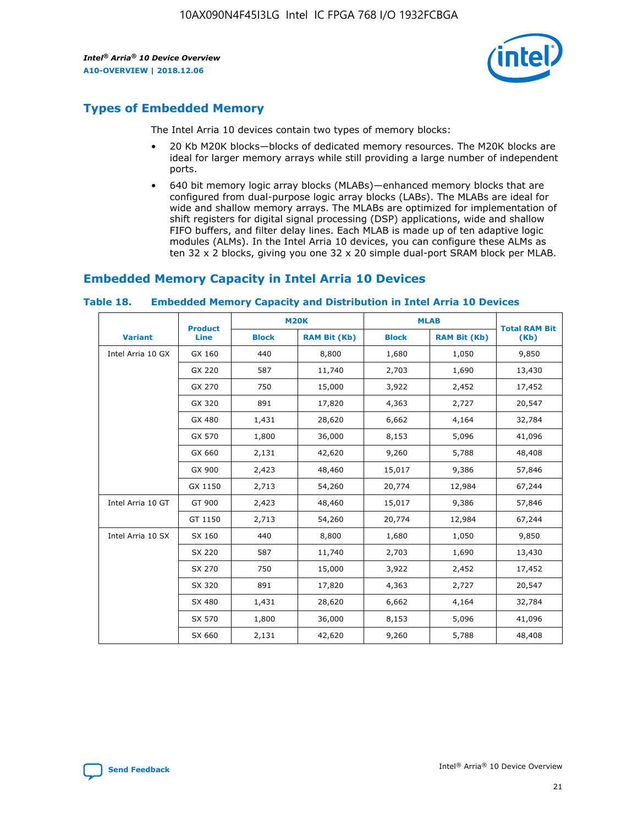

# **Types of Embedded Memory**

The Intel Arria 10 devices contain two types of memory blocks:

- 20 Kb M20K blocks—blocks of dedicated memory resources. The M20K blocks are ideal for larger memory arrays while still providing a large number of independent ports.
- 640 bit memory logic array blocks (MLABs)—enhanced memory blocks that are configured from dual-purpose logic array blocks (LABs). The MLABs are ideal for wide and shallow memory arrays. The MLABs are optimized for implementation of shift registers for digital signal processing (DSP) applications, wide and shallow FIFO buffers, and filter delay lines. Each MLAB is made up of ten adaptive logic modules (ALMs). In the Intel Arria 10 devices, you can configure these ALMs as ten 32 x 2 blocks, giving you one 32 x 20 simple dual-port SRAM block per MLAB.

# **Embedded Memory Capacity in Intel Arria 10 Devices**

|                   | <b>Product</b> |              | <b>M20K</b>         | <b>MLAB</b>  |                     | <b>Total RAM Bit</b> |
|-------------------|----------------|--------------|---------------------|--------------|---------------------|----------------------|
| <b>Variant</b>    | Line           | <b>Block</b> | <b>RAM Bit (Kb)</b> | <b>Block</b> | <b>RAM Bit (Kb)</b> | (Kb)                 |
| Intel Arria 10 GX | GX 160         | 440          | 8,800               | 1,680        | 1,050               | 9,850                |
|                   | GX 220         | 587          | 11,740              | 2,703        | 1,690               | 13,430               |
|                   | GX 270         | 750          | 15,000              | 3,922        | 2,452               | 17,452               |
|                   | GX 320         | 891          | 17,820              | 4,363        | 2,727               | 20,547               |
|                   | GX 480         | 1,431        | 28,620              | 6,662        | 4,164               | 32,784               |
|                   | GX 570         | 1,800        | 36,000              | 8,153        | 5,096               | 41,096               |
|                   | GX 660         | 2,131        | 42,620              | 9,260        | 5,788               | 48,408               |
|                   | GX 900         | 2,423        | 48,460              | 15,017       | 9,386               | 57,846               |
|                   | GX 1150        | 2,713        | 54,260              | 20,774       | 12,984              | 67,244               |
| Intel Arria 10 GT | GT 900         | 2,423        | 48,460              | 15,017       | 9,386               | 57,846               |
|                   | GT 1150        | 2,713        | 54,260              | 20,774       | 12,984              | 67,244               |
| Intel Arria 10 SX | SX 160         | 440          | 8,800               | 1,680        | 1,050               | 9,850                |
|                   | SX 220         | 587          | 11,740              | 2,703        | 1,690               | 13,430               |
|                   | SX 270         | 750          | 15,000              | 3,922        | 2,452               | 17,452               |
|                   | SX 320         | 891          | 17,820              | 4,363        | 2,727               | 20,547               |
|                   | SX 480         | 1,431        | 28,620              | 6,662        | 4,164               | 32,784               |
|                   | SX 570         | 1,800        | 36,000              | 8,153        | 5,096               | 41,096               |
|                   | SX 660         | 2,131        | 42,620              | 9,260        | 5,788               | 48,408               |

#### **Table 18. Embedded Memory Capacity and Distribution in Intel Arria 10 Devices**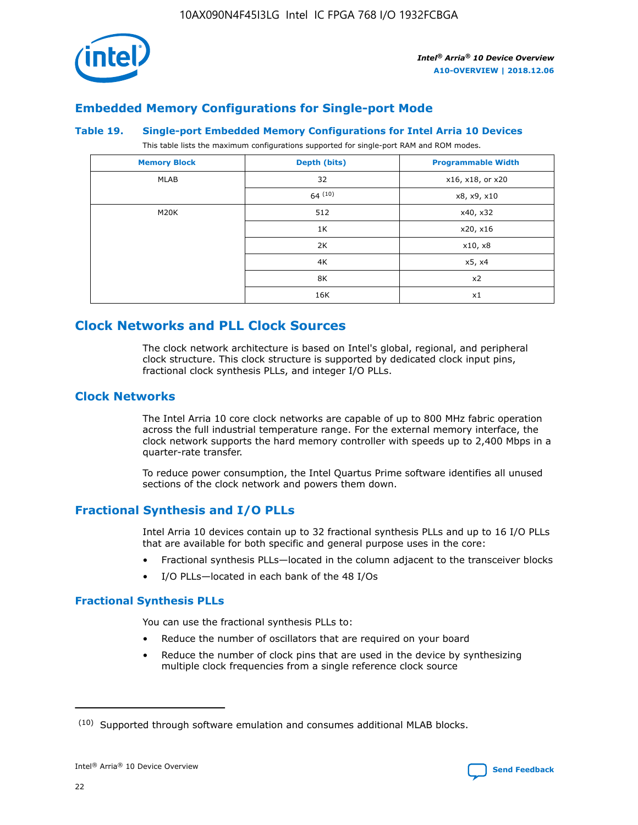

# **Embedded Memory Configurations for Single-port Mode**

#### **Table 19. Single-port Embedded Memory Configurations for Intel Arria 10 Devices**

This table lists the maximum configurations supported for single-port RAM and ROM modes.

| <b>Memory Block</b> | Depth (bits) | <b>Programmable Width</b> |
|---------------------|--------------|---------------------------|
| MLAB                | 32           | x16, x18, or x20          |
|                     | 64(10)       | x8, x9, x10               |
| M20K                | 512          | x40, x32                  |
|                     | 1K           | x20, x16                  |
|                     | 2K           | x10, x8                   |
|                     | 4K           | x5, x4                    |
|                     | 8K           | x2                        |
|                     | 16K          | x1                        |

# **Clock Networks and PLL Clock Sources**

The clock network architecture is based on Intel's global, regional, and peripheral clock structure. This clock structure is supported by dedicated clock input pins, fractional clock synthesis PLLs, and integer I/O PLLs.

# **Clock Networks**

The Intel Arria 10 core clock networks are capable of up to 800 MHz fabric operation across the full industrial temperature range. For the external memory interface, the clock network supports the hard memory controller with speeds up to 2,400 Mbps in a quarter-rate transfer.

To reduce power consumption, the Intel Quartus Prime software identifies all unused sections of the clock network and powers them down.

# **Fractional Synthesis and I/O PLLs**

Intel Arria 10 devices contain up to 32 fractional synthesis PLLs and up to 16 I/O PLLs that are available for both specific and general purpose uses in the core:

- Fractional synthesis PLLs—located in the column adjacent to the transceiver blocks
- I/O PLLs—located in each bank of the 48 I/Os

# **Fractional Synthesis PLLs**

You can use the fractional synthesis PLLs to:

- Reduce the number of oscillators that are required on your board
- Reduce the number of clock pins that are used in the device by synthesizing multiple clock frequencies from a single reference clock source

<sup>(10)</sup> Supported through software emulation and consumes additional MLAB blocks.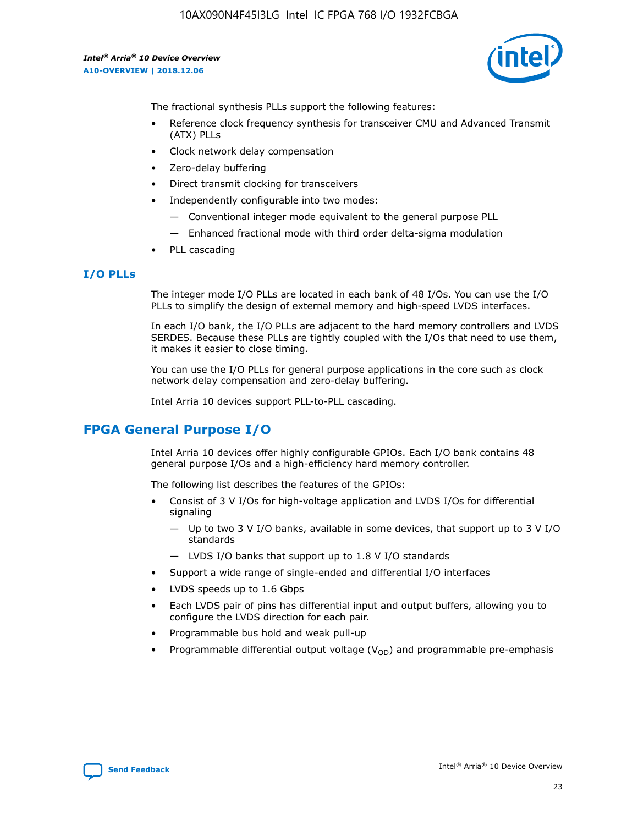

The fractional synthesis PLLs support the following features:

- Reference clock frequency synthesis for transceiver CMU and Advanced Transmit (ATX) PLLs
- Clock network delay compensation
- Zero-delay buffering
- Direct transmit clocking for transceivers
- Independently configurable into two modes:
	- Conventional integer mode equivalent to the general purpose PLL
	- Enhanced fractional mode with third order delta-sigma modulation
- PLL cascading

#### **I/O PLLs**

The integer mode I/O PLLs are located in each bank of 48 I/Os. You can use the I/O PLLs to simplify the design of external memory and high-speed LVDS interfaces.

In each I/O bank, the I/O PLLs are adjacent to the hard memory controllers and LVDS SERDES. Because these PLLs are tightly coupled with the I/Os that need to use them, it makes it easier to close timing.

You can use the I/O PLLs for general purpose applications in the core such as clock network delay compensation and zero-delay buffering.

Intel Arria 10 devices support PLL-to-PLL cascading.

# **FPGA General Purpose I/O**

Intel Arria 10 devices offer highly configurable GPIOs. Each I/O bank contains 48 general purpose I/Os and a high-efficiency hard memory controller.

The following list describes the features of the GPIOs:

- Consist of 3 V I/Os for high-voltage application and LVDS I/Os for differential signaling
	- Up to two 3 V I/O banks, available in some devices, that support up to 3 V I/O standards
	- LVDS I/O banks that support up to 1.8 V I/O standards
- Support a wide range of single-ended and differential I/O interfaces
- LVDS speeds up to 1.6 Gbps
- Each LVDS pair of pins has differential input and output buffers, allowing you to configure the LVDS direction for each pair.
- Programmable bus hold and weak pull-up
- Programmable differential output voltage  $(V_{OD})$  and programmable pre-emphasis

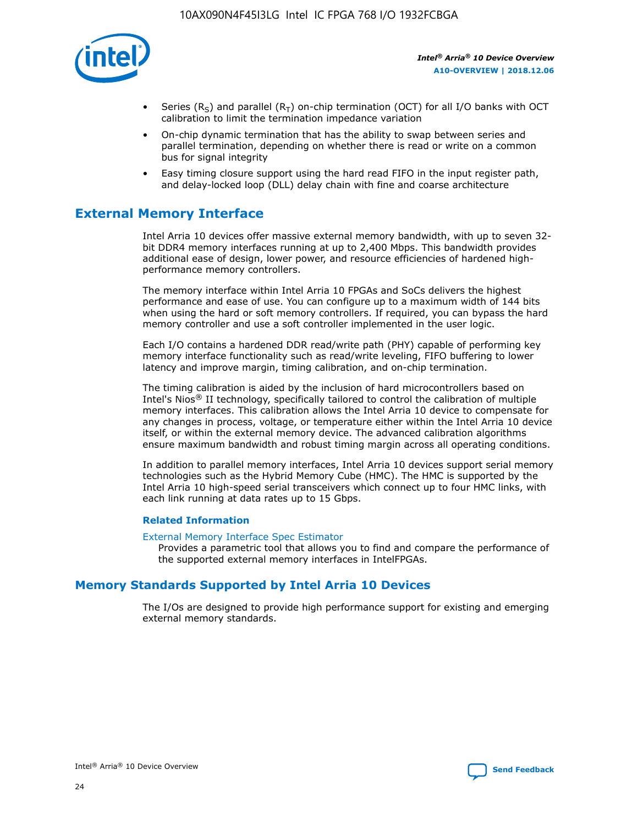

- Series (R<sub>S</sub>) and parallel (R<sub>T</sub>) on-chip termination (OCT) for all I/O banks with OCT calibration to limit the termination impedance variation
- On-chip dynamic termination that has the ability to swap between series and parallel termination, depending on whether there is read or write on a common bus for signal integrity
- Easy timing closure support using the hard read FIFO in the input register path, and delay-locked loop (DLL) delay chain with fine and coarse architecture

# **External Memory Interface**

Intel Arria 10 devices offer massive external memory bandwidth, with up to seven 32 bit DDR4 memory interfaces running at up to 2,400 Mbps. This bandwidth provides additional ease of design, lower power, and resource efficiencies of hardened highperformance memory controllers.

The memory interface within Intel Arria 10 FPGAs and SoCs delivers the highest performance and ease of use. You can configure up to a maximum width of 144 bits when using the hard or soft memory controllers. If required, you can bypass the hard memory controller and use a soft controller implemented in the user logic.

Each I/O contains a hardened DDR read/write path (PHY) capable of performing key memory interface functionality such as read/write leveling, FIFO buffering to lower latency and improve margin, timing calibration, and on-chip termination.

The timing calibration is aided by the inclusion of hard microcontrollers based on Intel's Nios® II technology, specifically tailored to control the calibration of multiple memory interfaces. This calibration allows the Intel Arria 10 device to compensate for any changes in process, voltage, or temperature either within the Intel Arria 10 device itself, or within the external memory device. The advanced calibration algorithms ensure maximum bandwidth and robust timing margin across all operating conditions.

In addition to parallel memory interfaces, Intel Arria 10 devices support serial memory technologies such as the Hybrid Memory Cube (HMC). The HMC is supported by the Intel Arria 10 high-speed serial transceivers which connect up to four HMC links, with each link running at data rates up to 15 Gbps.

#### **Related Information**

#### [External Memory Interface Spec Estimator](http://www.altera.com/technology/memory/estimator/mem-emif-index.html)

Provides a parametric tool that allows you to find and compare the performance of the supported external memory interfaces in IntelFPGAs.

# **Memory Standards Supported by Intel Arria 10 Devices**

The I/Os are designed to provide high performance support for existing and emerging external memory standards.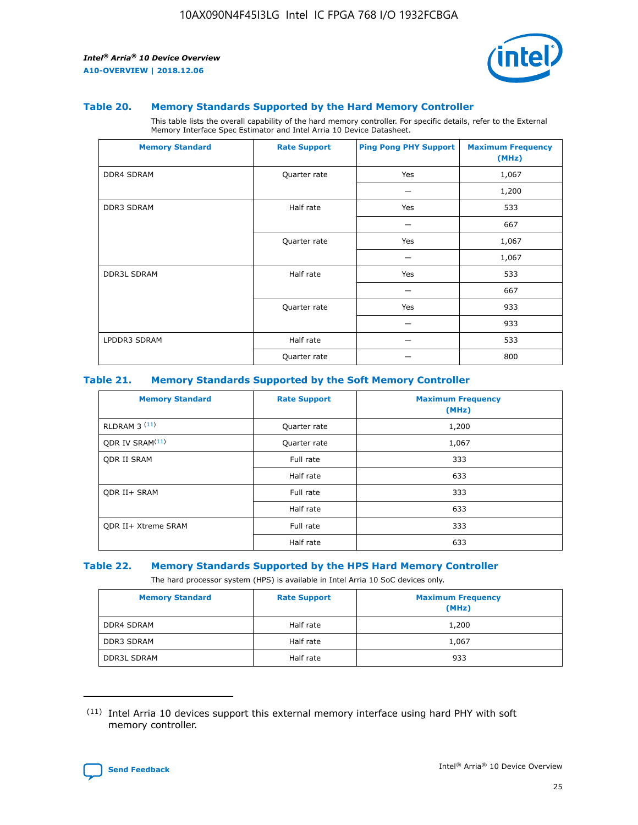

#### **Table 20. Memory Standards Supported by the Hard Memory Controller**

This table lists the overall capability of the hard memory controller. For specific details, refer to the External Memory Interface Spec Estimator and Intel Arria 10 Device Datasheet.

| <b>Memory Standard</b> | <b>Rate Support</b> | <b>Ping Pong PHY Support</b> | <b>Maximum Frequency</b><br>(MHz) |
|------------------------|---------------------|------------------------------|-----------------------------------|
| <b>DDR4 SDRAM</b>      | Quarter rate        | Yes                          | 1,067                             |
|                        |                     |                              | 1,200                             |
| DDR3 SDRAM             | Half rate           | Yes                          | 533                               |
|                        |                     |                              | 667                               |
|                        | Quarter rate        | Yes                          | 1,067                             |
|                        |                     |                              | 1,067                             |
| <b>DDR3L SDRAM</b>     | Half rate           | Yes                          | 533                               |
|                        |                     |                              | 667                               |
|                        | Quarter rate        | Yes                          | 933                               |
|                        |                     |                              | 933                               |
| LPDDR3 SDRAM           | Half rate           |                              | 533                               |
|                        | Quarter rate        |                              | 800                               |

#### **Table 21. Memory Standards Supported by the Soft Memory Controller**

| <b>Memory Standard</b>      | <b>Rate Support</b> | <b>Maximum Frequency</b><br>(MHz) |
|-----------------------------|---------------------|-----------------------------------|
| <b>RLDRAM 3 (11)</b>        | Quarter rate        | 1,200                             |
| QDR IV SRAM <sup>(11)</sup> | Quarter rate        | 1,067                             |
| <b>ODR II SRAM</b>          | Full rate           | 333                               |
|                             | Half rate           | 633                               |
| <b>ODR II+ SRAM</b>         | Full rate           | 333                               |
|                             | Half rate           | 633                               |
| <b>QDR II+ Xtreme SRAM</b>  | Full rate           | 333                               |
|                             | Half rate           | 633                               |

#### **Table 22. Memory Standards Supported by the HPS Hard Memory Controller**

The hard processor system (HPS) is available in Intel Arria 10 SoC devices only.

| <b>Memory Standard</b> | <b>Rate Support</b> | <b>Maximum Frequency</b><br>(MHz) |
|------------------------|---------------------|-----------------------------------|
| <b>DDR4 SDRAM</b>      | Half rate           | 1,200                             |
| <b>DDR3 SDRAM</b>      | Half rate           | 1,067                             |
| <b>DDR3L SDRAM</b>     | Half rate           | 933                               |

<sup>(11)</sup> Intel Arria 10 devices support this external memory interface using hard PHY with soft memory controller.

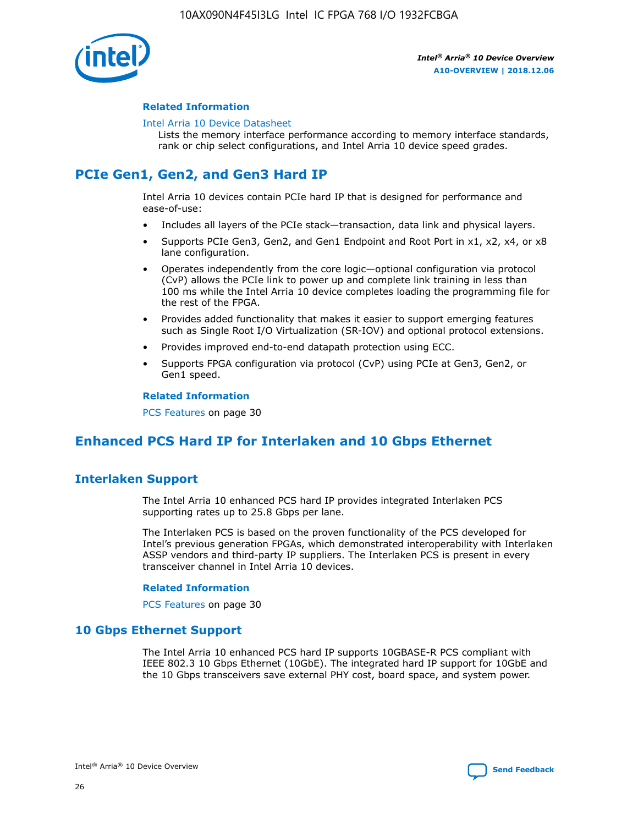

#### **Related Information**

#### [Intel Arria 10 Device Datasheet](https://www.intel.com/content/www/us/en/programmable/documentation/mcn1413182292568.html#mcn1413182153340)

Lists the memory interface performance according to memory interface standards, rank or chip select configurations, and Intel Arria 10 device speed grades.

# **PCIe Gen1, Gen2, and Gen3 Hard IP**

Intel Arria 10 devices contain PCIe hard IP that is designed for performance and ease-of-use:

- Includes all layers of the PCIe stack—transaction, data link and physical layers.
- Supports PCIe Gen3, Gen2, and Gen1 Endpoint and Root Port in x1, x2, x4, or x8 lane configuration.
- Operates independently from the core logic—optional configuration via protocol (CvP) allows the PCIe link to power up and complete link training in less than 100 ms while the Intel Arria 10 device completes loading the programming file for the rest of the FPGA.
- Provides added functionality that makes it easier to support emerging features such as Single Root I/O Virtualization (SR-IOV) and optional protocol extensions.
- Provides improved end-to-end datapath protection using ECC.
- Supports FPGA configuration via protocol (CvP) using PCIe at Gen3, Gen2, or Gen1 speed.

#### **Related Information**

PCS Features on page 30

# **Enhanced PCS Hard IP for Interlaken and 10 Gbps Ethernet**

# **Interlaken Support**

The Intel Arria 10 enhanced PCS hard IP provides integrated Interlaken PCS supporting rates up to 25.8 Gbps per lane.

The Interlaken PCS is based on the proven functionality of the PCS developed for Intel's previous generation FPGAs, which demonstrated interoperability with Interlaken ASSP vendors and third-party IP suppliers. The Interlaken PCS is present in every transceiver channel in Intel Arria 10 devices.

#### **Related Information**

PCS Features on page 30

# **10 Gbps Ethernet Support**

The Intel Arria 10 enhanced PCS hard IP supports 10GBASE-R PCS compliant with IEEE 802.3 10 Gbps Ethernet (10GbE). The integrated hard IP support for 10GbE and the 10 Gbps transceivers save external PHY cost, board space, and system power.

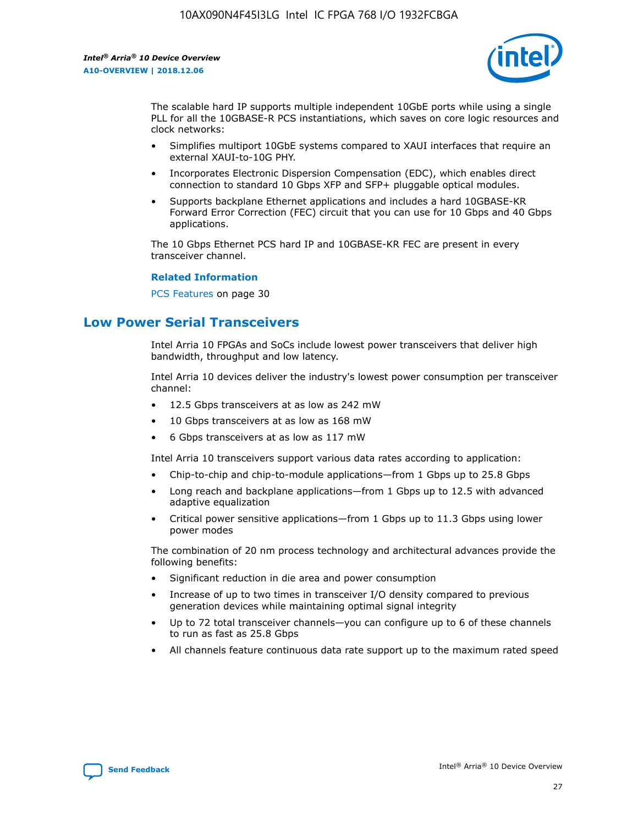

The scalable hard IP supports multiple independent 10GbE ports while using a single PLL for all the 10GBASE-R PCS instantiations, which saves on core logic resources and clock networks:

- Simplifies multiport 10GbE systems compared to XAUI interfaces that require an external XAUI-to-10G PHY.
- Incorporates Electronic Dispersion Compensation (EDC), which enables direct connection to standard 10 Gbps XFP and SFP+ pluggable optical modules.
- Supports backplane Ethernet applications and includes a hard 10GBASE-KR Forward Error Correction (FEC) circuit that you can use for 10 Gbps and 40 Gbps applications.

The 10 Gbps Ethernet PCS hard IP and 10GBASE-KR FEC are present in every transceiver channel.

#### **Related Information**

PCS Features on page 30

# **Low Power Serial Transceivers**

Intel Arria 10 FPGAs and SoCs include lowest power transceivers that deliver high bandwidth, throughput and low latency.

Intel Arria 10 devices deliver the industry's lowest power consumption per transceiver channel:

- 12.5 Gbps transceivers at as low as 242 mW
- 10 Gbps transceivers at as low as 168 mW
- 6 Gbps transceivers at as low as 117 mW

Intel Arria 10 transceivers support various data rates according to application:

- Chip-to-chip and chip-to-module applications—from 1 Gbps up to 25.8 Gbps
- Long reach and backplane applications—from 1 Gbps up to 12.5 with advanced adaptive equalization
- Critical power sensitive applications—from 1 Gbps up to 11.3 Gbps using lower power modes

The combination of 20 nm process technology and architectural advances provide the following benefits:

- Significant reduction in die area and power consumption
- Increase of up to two times in transceiver I/O density compared to previous generation devices while maintaining optimal signal integrity
- Up to 72 total transceiver channels—you can configure up to 6 of these channels to run as fast as 25.8 Gbps
- All channels feature continuous data rate support up to the maximum rated speed

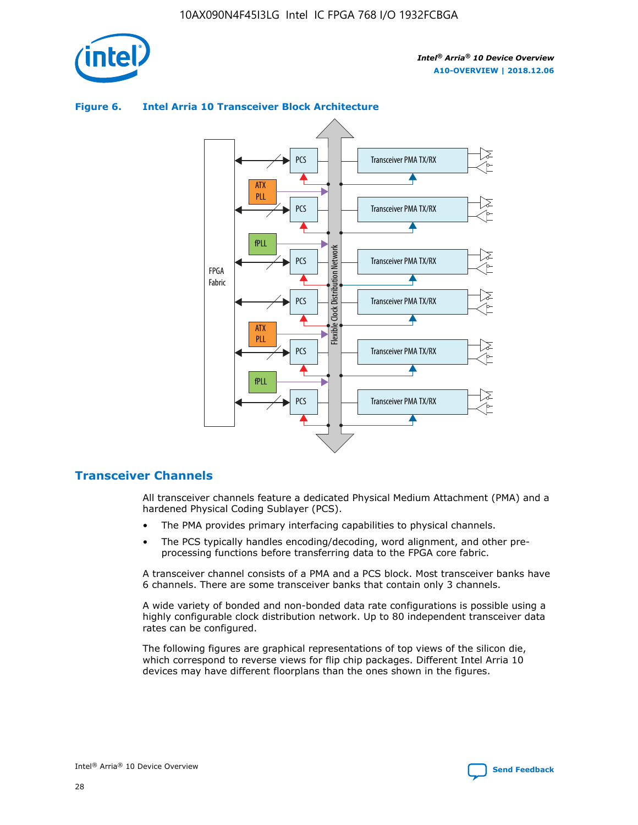

# Transceiver PMA TX/RX PCS ATX PLL Transceiver PMA TX/RX PCS fPLL Network Flexible Clock Distribution Network PCS Transceiver PMA TX/RX FPGA **Clock Distribution** Fabric PCS Transceiver PMA TX/RX ATX Flexible PLL PCS Transceiver PMA TX/RX ▲ fPLL Transceiver PMA TX/RX PCS 4

## **Figure 6. Intel Arria 10 Transceiver Block Architecture**

# **Transceiver Channels**

All transceiver channels feature a dedicated Physical Medium Attachment (PMA) and a hardened Physical Coding Sublayer (PCS).

- The PMA provides primary interfacing capabilities to physical channels.
- The PCS typically handles encoding/decoding, word alignment, and other preprocessing functions before transferring data to the FPGA core fabric.

A transceiver channel consists of a PMA and a PCS block. Most transceiver banks have 6 channels. There are some transceiver banks that contain only 3 channels.

A wide variety of bonded and non-bonded data rate configurations is possible using a highly configurable clock distribution network. Up to 80 independent transceiver data rates can be configured.

The following figures are graphical representations of top views of the silicon die, which correspond to reverse views for flip chip packages. Different Intel Arria 10 devices may have different floorplans than the ones shown in the figures.

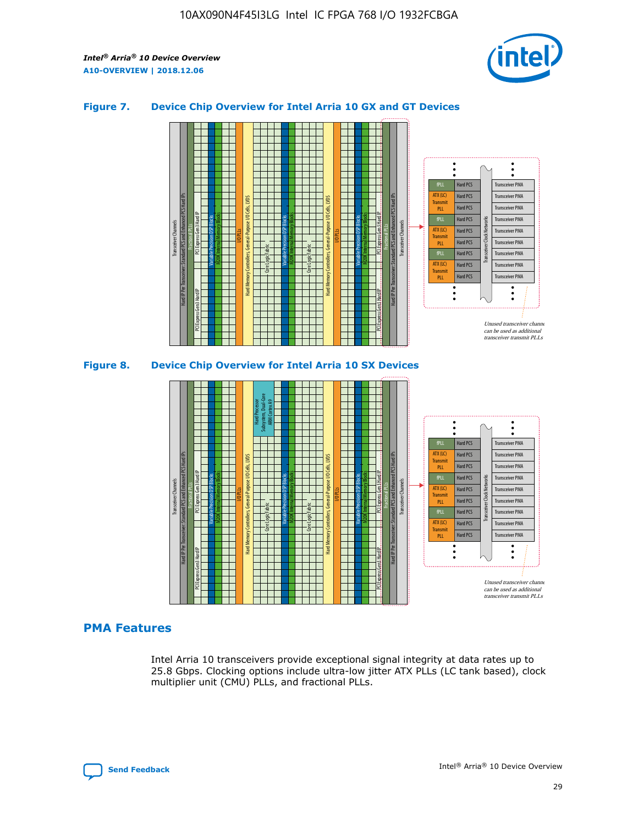

## **Figure 7. Device Chip Overview for Intel Arria 10 GX and GT Devices**



M20K Internal Memory Blocks Core Logic Fabric Transceiver Channels Hard IP Per Transceiver: Standard PCS and Enhanced PCS Hard IPs PCI Express Gen3 Hard IP Fractional PLLs M20K Internal Memory Blocks PCI Express Gen3 Hard IP Variable Precision DSP Blocks I/O PLLs Hard Memory Controllers, General-Purpose I/O Cells, LVDS Hard Processor Subsystem, Dual-Core ARM Cortex A9 M20K Internal Memory Blocks Variable Precision DSP Blocks M20K Internal Memory Blocks Core Logic Fabric I/O PLLs Hard Memory Controllers, General-Purpose I/O Cells, LVDS M20K Internal Memory Blocks Variable Precision DSP Blocks M20K Internal Memory Blocks Transceiver Channels Hard IP Per Transceiver: Standard PCS and Enhanced PCS Hard IPs PCI Express Gen3 Hard IP Fractional PLLs PCI Express Gen3 Hard IP  $\ddot{\cdot}$ Hard PCS Transceiver PMA fPLL ATX (LC) Hard PCS Transceiver PMA **Transmit** Hard PCS Transceiver PMA PLL fPLL Hard PCS Transceiver PMA Transceiver Clock Networks ATX (LC) Hard PCS Transceiver PMA Transmi Hard PCS Transceiver PMA PLL fPLL Hard PCS Transceiver PMA Transceiver PMA Hard PCS ATX (LC) **Transmit** Hard PCS Transceiver PMA PLL Unused transceiver chann can be used as additional transceiver transmit PLLs

#### **PMA Features**

Intel Arria 10 transceivers provide exceptional signal integrity at data rates up to 25.8 Gbps. Clocking options include ultra-low jitter ATX PLLs (LC tank based), clock multiplier unit (CMU) PLLs, and fractional PLLs.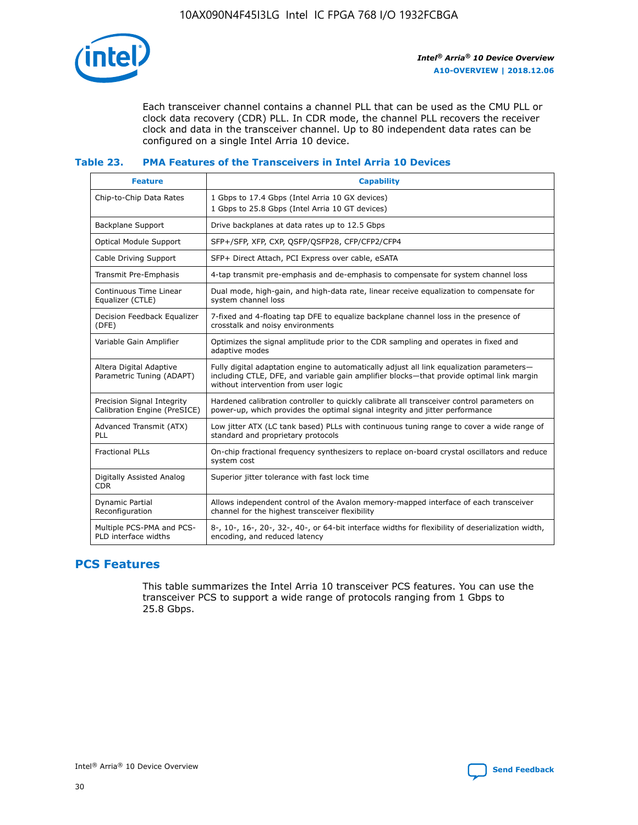

Each transceiver channel contains a channel PLL that can be used as the CMU PLL or clock data recovery (CDR) PLL. In CDR mode, the channel PLL recovers the receiver clock and data in the transceiver channel. Up to 80 independent data rates can be configured on a single Intel Arria 10 device.

## **Table 23. PMA Features of the Transceivers in Intel Arria 10 Devices**

| <b>Feature</b>                                             | <b>Capability</b>                                                                                                                                                                                                             |
|------------------------------------------------------------|-------------------------------------------------------------------------------------------------------------------------------------------------------------------------------------------------------------------------------|
| Chip-to-Chip Data Rates                                    | 1 Gbps to 17.4 Gbps (Intel Arria 10 GX devices)<br>1 Gbps to 25.8 Gbps (Intel Arria 10 GT devices)                                                                                                                            |
| <b>Backplane Support</b>                                   | Drive backplanes at data rates up to 12.5 Gbps                                                                                                                                                                                |
| Optical Module Support                                     | SFP+/SFP, XFP, CXP, QSFP/QSFP28, CFP/CFP2/CFP4                                                                                                                                                                                |
| Cable Driving Support                                      | SFP+ Direct Attach, PCI Express over cable, eSATA                                                                                                                                                                             |
| Transmit Pre-Emphasis                                      | 4-tap transmit pre-emphasis and de-emphasis to compensate for system channel loss                                                                                                                                             |
| Continuous Time Linear<br>Equalizer (CTLE)                 | Dual mode, high-gain, and high-data rate, linear receive equalization to compensate for<br>system channel loss                                                                                                                |
| Decision Feedback Equalizer<br>(DFE)                       | 7-fixed and 4-floating tap DFE to equalize backplane channel loss in the presence of<br>crosstalk and noisy environments                                                                                                      |
| Variable Gain Amplifier                                    | Optimizes the signal amplitude prior to the CDR sampling and operates in fixed and<br>adaptive modes                                                                                                                          |
| Altera Digital Adaptive<br>Parametric Tuning (ADAPT)       | Fully digital adaptation engine to automatically adjust all link equalization parameters-<br>including CTLE, DFE, and variable gain amplifier blocks—that provide optimal link margin<br>without intervention from user logic |
| Precision Signal Integrity<br>Calibration Engine (PreSICE) | Hardened calibration controller to quickly calibrate all transceiver control parameters on<br>power-up, which provides the optimal signal integrity and jitter performance                                                    |
| Advanced Transmit (ATX)<br><b>PLL</b>                      | Low jitter ATX (LC tank based) PLLs with continuous tuning range to cover a wide range of<br>standard and proprietary protocols                                                                                               |
| <b>Fractional PLLs</b>                                     | On-chip fractional frequency synthesizers to replace on-board crystal oscillators and reduce<br>system cost                                                                                                                   |
| Digitally Assisted Analog<br><b>CDR</b>                    | Superior jitter tolerance with fast lock time                                                                                                                                                                                 |
| Dynamic Partial<br>Reconfiguration                         | Allows independent control of the Avalon memory-mapped interface of each transceiver<br>channel for the highest transceiver flexibility                                                                                       |
| Multiple PCS-PMA and PCS-<br>PLD interface widths          | 8-, 10-, 16-, 20-, 32-, 40-, or 64-bit interface widths for flexibility of deserialization width,<br>encoding, and reduced latency                                                                                            |

# **PCS Features**

This table summarizes the Intel Arria 10 transceiver PCS features. You can use the transceiver PCS to support a wide range of protocols ranging from 1 Gbps to 25.8 Gbps.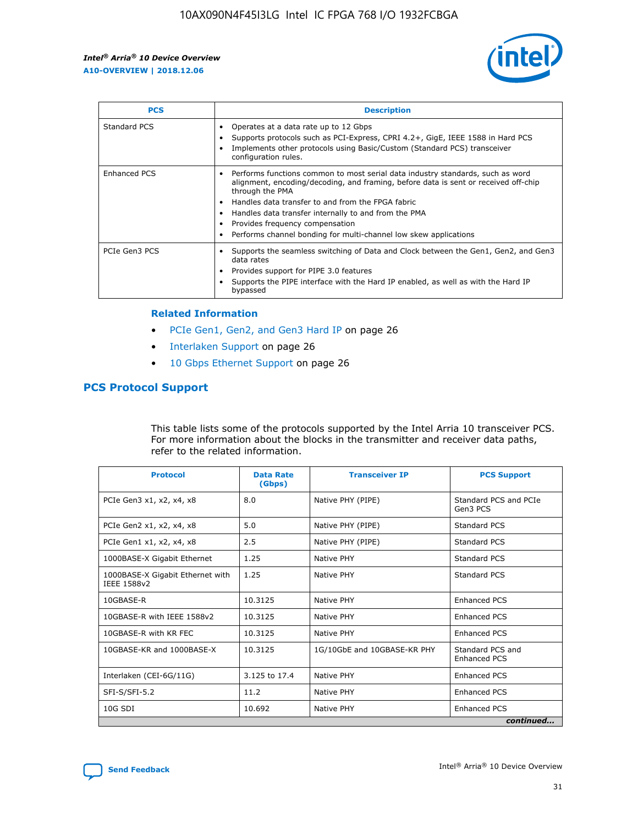

| <b>PCS</b>    | <b>Description</b>                                                                                                                                                                                                                                                                                                                                                                                             |
|---------------|----------------------------------------------------------------------------------------------------------------------------------------------------------------------------------------------------------------------------------------------------------------------------------------------------------------------------------------------------------------------------------------------------------------|
| Standard PCS  | Operates at a data rate up to 12 Gbps<br>Supports protocols such as PCI-Express, CPRI 4.2+, GigE, IEEE 1588 in Hard PCS<br>Implements other protocols using Basic/Custom (Standard PCS) transceiver<br>configuration rules.                                                                                                                                                                                    |
| Enhanced PCS  | Performs functions common to most serial data industry standards, such as word<br>alignment, encoding/decoding, and framing, before data is sent or received off-chip<br>through the PMA<br>• Handles data transfer to and from the FPGA fabric<br>Handles data transfer internally to and from the PMA<br>Provides frequency compensation<br>Performs channel bonding for multi-channel low skew applications |
| PCIe Gen3 PCS | Supports the seamless switching of Data and Clock between the Gen1, Gen2, and Gen3<br>data rates<br>Provides support for PIPE 3.0 features<br>Supports the PIPE interface with the Hard IP enabled, as well as with the Hard IP<br>bypassed                                                                                                                                                                    |

#### **Related Information**

- PCIe Gen1, Gen2, and Gen3 Hard IP on page 26
- Interlaken Support on page 26
- 10 Gbps Ethernet Support on page 26

# **PCS Protocol Support**

This table lists some of the protocols supported by the Intel Arria 10 transceiver PCS. For more information about the blocks in the transmitter and receiver data paths, refer to the related information.

| <b>Protocol</b>                                 | <b>Data Rate</b><br>(Gbps) | <b>Transceiver IP</b>       | <b>PCS Support</b>                      |
|-------------------------------------------------|----------------------------|-----------------------------|-----------------------------------------|
| PCIe Gen3 x1, x2, x4, x8                        | 8.0                        | Native PHY (PIPE)           | Standard PCS and PCIe<br>Gen3 PCS       |
| PCIe Gen2 x1, x2, x4, x8                        | 5.0                        | Native PHY (PIPE)           | <b>Standard PCS</b>                     |
| PCIe Gen1 x1, x2, x4, x8                        | 2.5                        | Native PHY (PIPE)           | Standard PCS                            |
| 1000BASE-X Gigabit Ethernet                     | 1.25                       | Native PHY                  | <b>Standard PCS</b>                     |
| 1000BASE-X Gigabit Ethernet with<br>IEEE 1588v2 | 1.25                       | Native PHY                  | Standard PCS                            |
| 10GBASE-R                                       | 10.3125                    | Native PHY                  | <b>Enhanced PCS</b>                     |
| 10GBASE-R with IEEE 1588v2                      | 10.3125                    | Native PHY                  | <b>Enhanced PCS</b>                     |
| 10GBASE-R with KR FEC                           | 10.3125                    | Native PHY                  | <b>Enhanced PCS</b>                     |
| 10GBASE-KR and 1000BASE-X                       | 10.3125                    | 1G/10GbE and 10GBASE-KR PHY | Standard PCS and<br><b>Enhanced PCS</b> |
| Interlaken (CEI-6G/11G)                         | 3.125 to 17.4              | Native PHY                  | <b>Enhanced PCS</b>                     |
| SFI-S/SFI-5.2                                   | 11.2                       | Native PHY                  | <b>Enhanced PCS</b>                     |
| $10G$ SDI                                       | 10.692                     | Native PHY                  | <b>Enhanced PCS</b>                     |
|                                                 |                            |                             | continued                               |

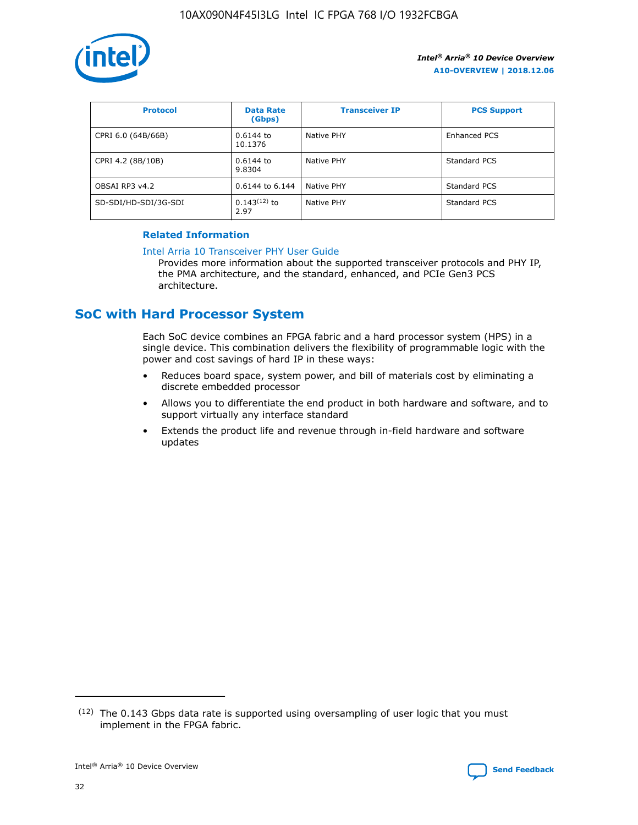

| <b>Protocol</b>      | <b>Data Rate</b><br>(Gbps) | <b>Transceiver IP</b> | <b>PCS Support</b> |
|----------------------|----------------------------|-----------------------|--------------------|
| CPRI 6.0 (64B/66B)   | 0.6144 to<br>10.1376       | Native PHY            | Enhanced PCS       |
| CPRI 4.2 (8B/10B)    | 0.6144 to<br>9.8304        | Native PHY            | Standard PCS       |
| OBSAI RP3 v4.2       | 0.6144 to 6.144            | Native PHY            | Standard PCS       |
| SD-SDI/HD-SDI/3G-SDI | $0.143(12)$ to<br>2.97     | Native PHY            | Standard PCS       |

## **Related Information**

#### [Intel Arria 10 Transceiver PHY User Guide](https://www.intel.com/content/www/us/en/programmable/documentation/nik1398707230472.html#nik1398707091164)

Provides more information about the supported transceiver protocols and PHY IP, the PMA architecture, and the standard, enhanced, and PCIe Gen3 PCS architecture.

# **SoC with Hard Processor System**

Each SoC device combines an FPGA fabric and a hard processor system (HPS) in a single device. This combination delivers the flexibility of programmable logic with the power and cost savings of hard IP in these ways:

- Reduces board space, system power, and bill of materials cost by eliminating a discrete embedded processor
- Allows you to differentiate the end product in both hardware and software, and to support virtually any interface standard
- Extends the product life and revenue through in-field hardware and software updates

 $(12)$  The 0.143 Gbps data rate is supported using oversampling of user logic that you must implement in the FPGA fabric.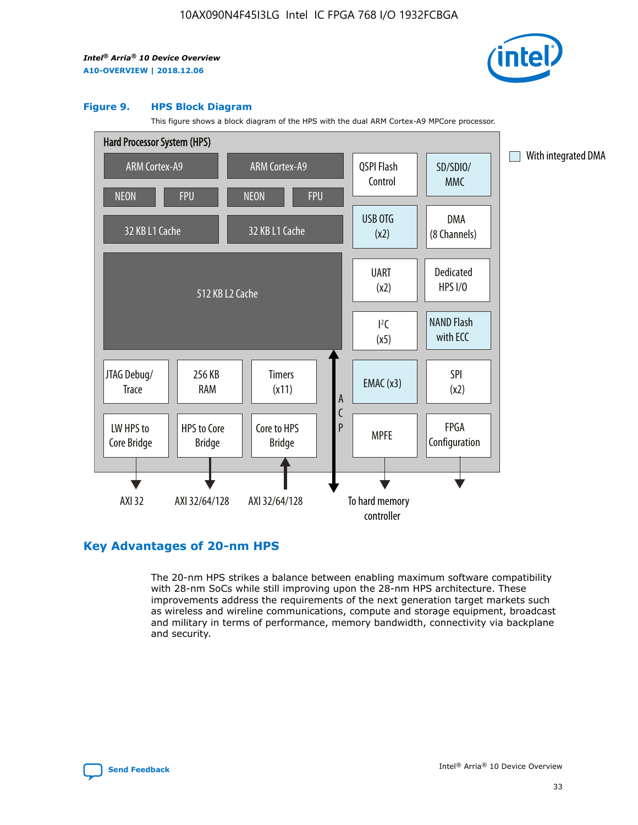

#### **Figure 9. HPS Block Diagram**

This figure shows a block diagram of the HPS with the dual ARM Cortex-A9 MPCore processor.



# **Key Advantages of 20-nm HPS**

The 20-nm HPS strikes a balance between enabling maximum software compatibility with 28-nm SoCs while still improving upon the 28-nm HPS architecture. These improvements address the requirements of the next generation target markets such as wireless and wireline communications, compute and storage equipment, broadcast and military in terms of performance, memory bandwidth, connectivity via backplane and security.

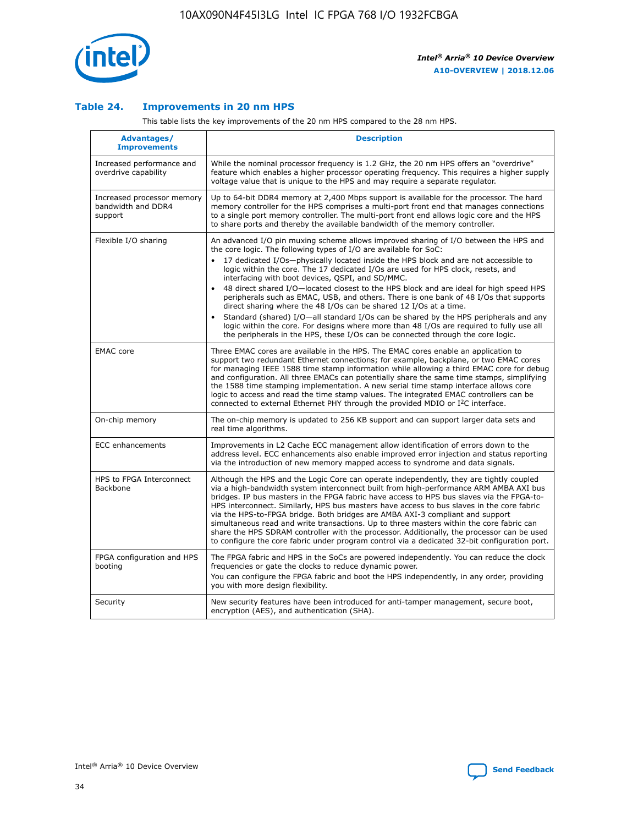

## **Table 24. Improvements in 20 nm HPS**

This table lists the key improvements of the 20 nm HPS compared to the 28 nm HPS.

| Advantages/<br><b>Improvements</b>                          | <b>Description</b>                                                                                                                                                                                                                                                                                                                                                                                                                                                                                                                                                                                                                                                                                                                                                                                                                                                                                                      |
|-------------------------------------------------------------|-------------------------------------------------------------------------------------------------------------------------------------------------------------------------------------------------------------------------------------------------------------------------------------------------------------------------------------------------------------------------------------------------------------------------------------------------------------------------------------------------------------------------------------------------------------------------------------------------------------------------------------------------------------------------------------------------------------------------------------------------------------------------------------------------------------------------------------------------------------------------------------------------------------------------|
| Increased performance and<br>overdrive capability           | While the nominal processor frequency is 1.2 GHz, the 20 nm HPS offers an "overdrive"<br>feature which enables a higher processor operating frequency. This requires a higher supply<br>voltage value that is unique to the HPS and may require a separate regulator.                                                                                                                                                                                                                                                                                                                                                                                                                                                                                                                                                                                                                                                   |
| Increased processor memory<br>bandwidth and DDR4<br>support | Up to 64-bit DDR4 memory at 2,400 Mbps support is available for the processor. The hard<br>memory controller for the HPS comprises a multi-port front end that manages connections<br>to a single port memory controller. The multi-port front end allows logic core and the HPS<br>to share ports and thereby the available bandwidth of the memory controller.                                                                                                                                                                                                                                                                                                                                                                                                                                                                                                                                                        |
| Flexible I/O sharing                                        | An advanced I/O pin muxing scheme allows improved sharing of I/O between the HPS and<br>the core logic. The following types of I/O are available for SoC:<br>17 dedicated I/Os-physically located inside the HPS block and are not accessible to<br>logic within the core. The 17 dedicated I/Os are used for HPS clock, resets, and<br>interfacing with boot devices, QSPI, and SD/MMC.<br>48 direct shared I/O-located closest to the HPS block and are ideal for high speed HPS<br>peripherals such as EMAC, USB, and others. There is one bank of 48 I/Os that supports<br>direct sharing where the 48 I/Os can be shared 12 I/Os at a time.<br>Standard (shared) I/O-all standard I/Os can be shared by the HPS peripherals and any<br>logic within the core. For designs where more than 48 I/Os are reguired to fully use all<br>the peripherals in the HPS, these I/Os can be connected through the core logic. |
| <b>EMAC</b> core                                            | Three EMAC cores are available in the HPS. The EMAC cores enable an application to<br>support two redundant Ethernet connections; for example, backplane, or two EMAC cores<br>for managing IEEE 1588 time stamp information while allowing a third EMAC core for debug<br>and configuration. All three EMACs can potentially share the same time stamps, simplifying<br>the 1588 time stamping implementation. A new serial time stamp interface allows core<br>logic to access and read the time stamp values. The integrated EMAC controllers can be<br>connected to external Ethernet PHY through the provided MDIO or I <sup>2</sup> C interface.                                                                                                                                                                                                                                                                  |
| On-chip memory                                              | The on-chip memory is updated to 256 KB support and can support larger data sets and<br>real time algorithms.                                                                                                                                                                                                                                                                                                                                                                                                                                                                                                                                                                                                                                                                                                                                                                                                           |
| <b>ECC</b> enhancements                                     | Improvements in L2 Cache ECC management allow identification of errors down to the<br>address level. ECC enhancements also enable improved error injection and status reporting<br>via the introduction of new memory mapped access to syndrome and data signals.                                                                                                                                                                                                                                                                                                                                                                                                                                                                                                                                                                                                                                                       |
| HPS to FPGA Interconnect<br>Backbone                        | Although the HPS and the Logic Core can operate independently, they are tightly coupled<br>via a high-bandwidth system interconnect built from high-performance ARM AMBA AXI bus<br>bridges. IP bus masters in the FPGA fabric have access to HPS bus slaves via the FPGA-to-<br>HPS interconnect. Similarly, HPS bus masters have access to bus slaves in the core fabric<br>via the HPS-to-FPGA bridge. Both bridges are AMBA AXI-3 compliant and support<br>simultaneous read and write transactions. Up to three masters within the core fabric can<br>share the HPS SDRAM controller with the processor. Additionally, the processor can be used<br>to configure the core fabric under program control via a dedicated 32-bit configuration port.                                                                                                                                                                  |
| FPGA configuration and HPS<br>booting                       | The FPGA fabric and HPS in the SoCs are powered independently. You can reduce the clock<br>frequencies or gate the clocks to reduce dynamic power.<br>You can configure the FPGA fabric and boot the HPS independently, in any order, providing<br>you with more design flexibility.                                                                                                                                                                                                                                                                                                                                                                                                                                                                                                                                                                                                                                    |
| Security                                                    | New security features have been introduced for anti-tamper management, secure boot,<br>encryption (AES), and authentication (SHA).                                                                                                                                                                                                                                                                                                                                                                                                                                                                                                                                                                                                                                                                                                                                                                                      |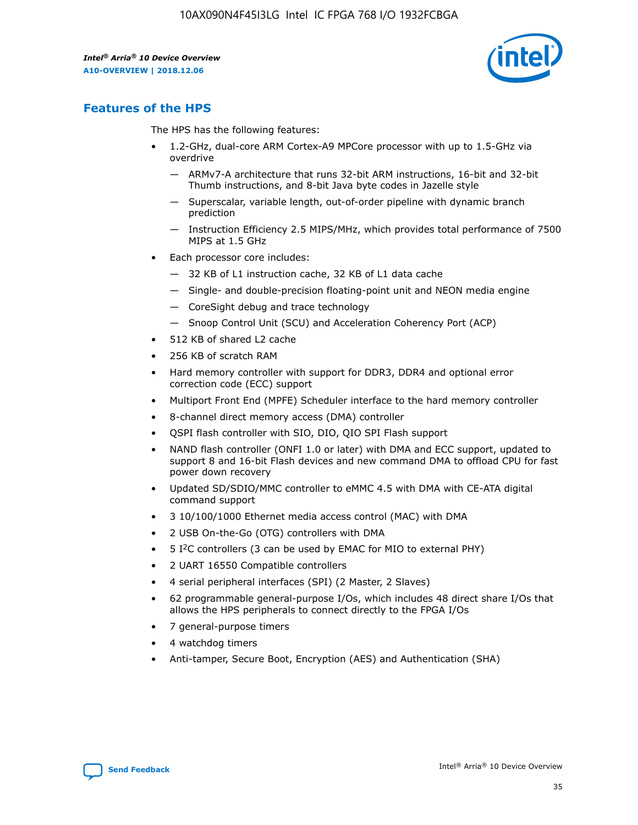

# **Features of the HPS**

The HPS has the following features:

- 1.2-GHz, dual-core ARM Cortex-A9 MPCore processor with up to 1.5-GHz via overdrive
	- ARMv7-A architecture that runs 32-bit ARM instructions, 16-bit and 32-bit Thumb instructions, and 8-bit Java byte codes in Jazelle style
	- Superscalar, variable length, out-of-order pipeline with dynamic branch prediction
	- Instruction Efficiency 2.5 MIPS/MHz, which provides total performance of 7500 MIPS at 1.5 GHz
- Each processor core includes:
	- 32 KB of L1 instruction cache, 32 KB of L1 data cache
	- Single- and double-precision floating-point unit and NEON media engine
	- CoreSight debug and trace technology
	- Snoop Control Unit (SCU) and Acceleration Coherency Port (ACP)
- 512 KB of shared L2 cache
- 256 KB of scratch RAM
- Hard memory controller with support for DDR3, DDR4 and optional error correction code (ECC) support
- Multiport Front End (MPFE) Scheduler interface to the hard memory controller
- 8-channel direct memory access (DMA) controller
- QSPI flash controller with SIO, DIO, QIO SPI Flash support
- NAND flash controller (ONFI 1.0 or later) with DMA and ECC support, updated to support 8 and 16-bit Flash devices and new command DMA to offload CPU for fast power down recovery
- Updated SD/SDIO/MMC controller to eMMC 4.5 with DMA with CE-ATA digital command support
- 3 10/100/1000 Ethernet media access control (MAC) with DMA
- 2 USB On-the-Go (OTG) controllers with DMA
- $\bullet$  5 I<sup>2</sup>C controllers (3 can be used by EMAC for MIO to external PHY)
- 2 UART 16550 Compatible controllers
- 4 serial peripheral interfaces (SPI) (2 Master, 2 Slaves)
- 62 programmable general-purpose I/Os, which includes 48 direct share I/Os that allows the HPS peripherals to connect directly to the FPGA I/Os
- 7 general-purpose timers
- 4 watchdog timers
- Anti-tamper, Secure Boot, Encryption (AES) and Authentication (SHA)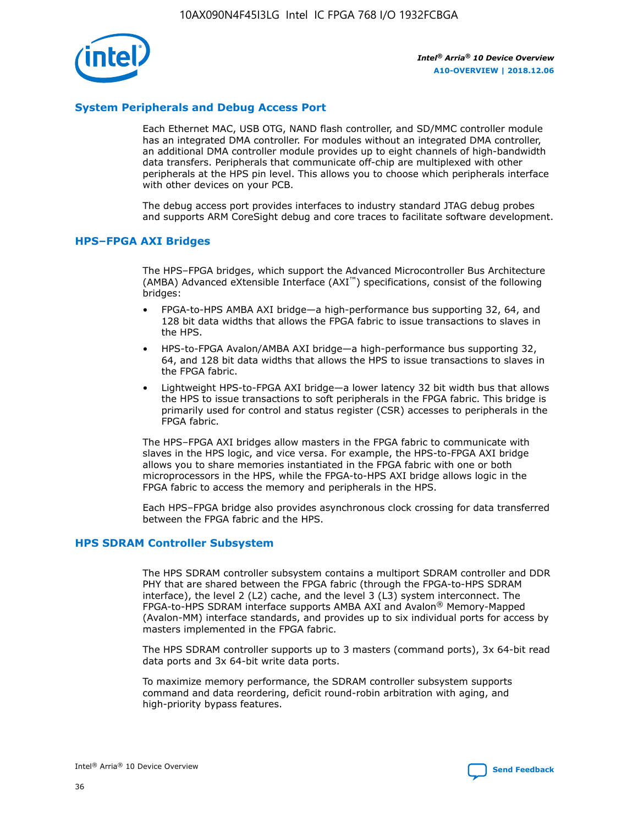

# **System Peripherals and Debug Access Port**

Each Ethernet MAC, USB OTG, NAND flash controller, and SD/MMC controller module has an integrated DMA controller. For modules without an integrated DMA controller, an additional DMA controller module provides up to eight channels of high-bandwidth data transfers. Peripherals that communicate off-chip are multiplexed with other peripherals at the HPS pin level. This allows you to choose which peripherals interface with other devices on your PCB.

The debug access port provides interfaces to industry standard JTAG debug probes and supports ARM CoreSight debug and core traces to facilitate software development.

## **HPS–FPGA AXI Bridges**

The HPS–FPGA bridges, which support the Advanced Microcontroller Bus Architecture (AMBA) Advanced eXtensible Interface (AXI™) specifications, consist of the following bridges:

- FPGA-to-HPS AMBA AXI bridge—a high-performance bus supporting 32, 64, and 128 bit data widths that allows the FPGA fabric to issue transactions to slaves in the HPS.
- HPS-to-FPGA Avalon/AMBA AXI bridge—a high-performance bus supporting 32, 64, and 128 bit data widths that allows the HPS to issue transactions to slaves in the FPGA fabric.
- Lightweight HPS-to-FPGA AXI bridge—a lower latency 32 bit width bus that allows the HPS to issue transactions to soft peripherals in the FPGA fabric. This bridge is primarily used for control and status register (CSR) accesses to peripherals in the FPGA fabric.

The HPS–FPGA AXI bridges allow masters in the FPGA fabric to communicate with slaves in the HPS logic, and vice versa. For example, the HPS-to-FPGA AXI bridge allows you to share memories instantiated in the FPGA fabric with one or both microprocessors in the HPS, while the FPGA-to-HPS AXI bridge allows logic in the FPGA fabric to access the memory and peripherals in the HPS.

Each HPS–FPGA bridge also provides asynchronous clock crossing for data transferred between the FPGA fabric and the HPS.

#### **HPS SDRAM Controller Subsystem**

The HPS SDRAM controller subsystem contains a multiport SDRAM controller and DDR PHY that are shared between the FPGA fabric (through the FPGA-to-HPS SDRAM interface), the level 2 (L2) cache, and the level 3 (L3) system interconnect. The FPGA-to-HPS SDRAM interface supports AMBA AXI and Avalon® Memory-Mapped (Avalon-MM) interface standards, and provides up to six individual ports for access by masters implemented in the FPGA fabric.

The HPS SDRAM controller supports up to 3 masters (command ports), 3x 64-bit read data ports and 3x 64-bit write data ports.

To maximize memory performance, the SDRAM controller subsystem supports command and data reordering, deficit round-robin arbitration with aging, and high-priority bypass features.

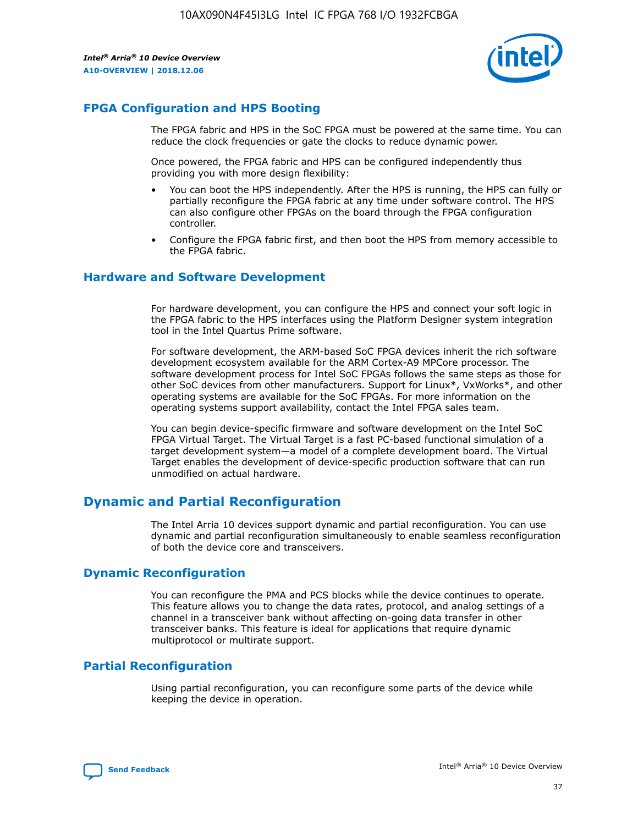

# **FPGA Configuration and HPS Booting**

The FPGA fabric and HPS in the SoC FPGA must be powered at the same time. You can reduce the clock frequencies or gate the clocks to reduce dynamic power.

Once powered, the FPGA fabric and HPS can be configured independently thus providing you with more design flexibility:

- You can boot the HPS independently. After the HPS is running, the HPS can fully or partially reconfigure the FPGA fabric at any time under software control. The HPS can also configure other FPGAs on the board through the FPGA configuration controller.
- Configure the FPGA fabric first, and then boot the HPS from memory accessible to the FPGA fabric.

## **Hardware and Software Development**

For hardware development, you can configure the HPS and connect your soft logic in the FPGA fabric to the HPS interfaces using the Platform Designer system integration tool in the Intel Quartus Prime software.

For software development, the ARM-based SoC FPGA devices inherit the rich software development ecosystem available for the ARM Cortex-A9 MPCore processor. The software development process for Intel SoC FPGAs follows the same steps as those for other SoC devices from other manufacturers. Support for Linux\*, VxWorks\*, and other operating systems are available for the SoC FPGAs. For more information on the operating systems support availability, contact the Intel FPGA sales team.

You can begin device-specific firmware and software development on the Intel SoC FPGA Virtual Target. The Virtual Target is a fast PC-based functional simulation of a target development system—a model of a complete development board. The Virtual Target enables the development of device-specific production software that can run unmodified on actual hardware.

# **Dynamic and Partial Reconfiguration**

The Intel Arria 10 devices support dynamic and partial reconfiguration. You can use dynamic and partial reconfiguration simultaneously to enable seamless reconfiguration of both the device core and transceivers.

# **Dynamic Reconfiguration**

You can reconfigure the PMA and PCS blocks while the device continues to operate. This feature allows you to change the data rates, protocol, and analog settings of a channel in a transceiver bank without affecting on-going data transfer in other transceiver banks. This feature is ideal for applications that require dynamic multiprotocol or multirate support.

# **Partial Reconfiguration**

Using partial reconfiguration, you can reconfigure some parts of the device while keeping the device in operation.

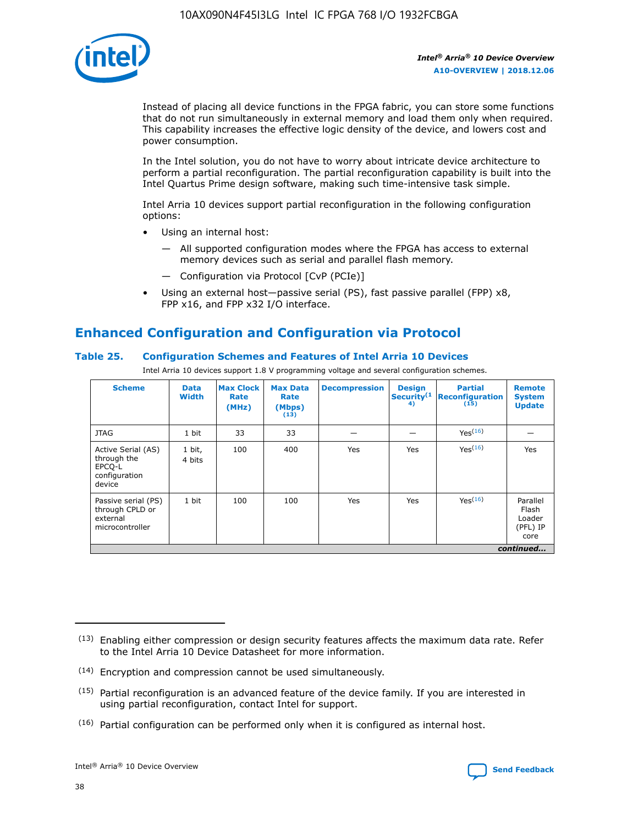

Instead of placing all device functions in the FPGA fabric, you can store some functions that do not run simultaneously in external memory and load them only when required. This capability increases the effective logic density of the device, and lowers cost and power consumption.

In the Intel solution, you do not have to worry about intricate device architecture to perform a partial reconfiguration. The partial reconfiguration capability is built into the Intel Quartus Prime design software, making such time-intensive task simple.

Intel Arria 10 devices support partial reconfiguration in the following configuration options:

- Using an internal host:
	- All supported configuration modes where the FPGA has access to external memory devices such as serial and parallel flash memory.
	- Configuration via Protocol [CvP (PCIe)]
- Using an external host—passive serial (PS), fast passive parallel (FPP) x8, FPP x16, and FPP x32 I/O interface.

# **Enhanced Configuration and Configuration via Protocol**

# **Table 25. Configuration Schemes and Features of Intel Arria 10 Devices**

Intel Arria 10 devices support 1.8 V programming voltage and several configuration schemes.

| <b>Scheme</b>                                                          | <b>Data</b><br><b>Width</b> | <b>Max Clock</b><br>Rate<br>(MHz) | <b>Max Data</b><br>Rate<br>(Mbps)<br>(13) | <b>Decompression</b> | <b>Design</b><br>Security <sup>(1</sup><br>4) | <b>Partial</b><br><b>Reconfiguration</b><br>(15) | <b>Remote</b><br><b>System</b><br><b>Update</b> |
|------------------------------------------------------------------------|-----------------------------|-----------------------------------|-------------------------------------------|----------------------|-----------------------------------------------|--------------------------------------------------|-------------------------------------------------|
| <b>JTAG</b>                                                            | 1 bit                       | 33                                | 33                                        |                      |                                               | Yes(16)                                          |                                                 |
| Active Serial (AS)<br>through the<br>EPCO-L<br>configuration<br>device | 1 bit,<br>4 bits            | 100                               | 400                                       | Yes                  | Yes                                           | $Y_{PS}(16)$                                     | Yes                                             |
| Passive serial (PS)<br>through CPLD or<br>external<br>microcontroller  | 1 bit                       | 100                               | 100                                       | Yes                  | Yes                                           | Yes(16)                                          | Parallel<br>Flash<br>Loader<br>(PFL) IP<br>core |
|                                                                        |                             |                                   |                                           |                      |                                               |                                                  | continued                                       |

<sup>(13)</sup> Enabling either compression or design security features affects the maximum data rate. Refer to the Intel Arria 10 Device Datasheet for more information.

<sup>(14)</sup> Encryption and compression cannot be used simultaneously.

 $<sup>(15)</sup>$  Partial reconfiguration is an advanced feature of the device family. If you are interested in</sup> using partial reconfiguration, contact Intel for support.

 $(16)$  Partial configuration can be performed only when it is configured as internal host.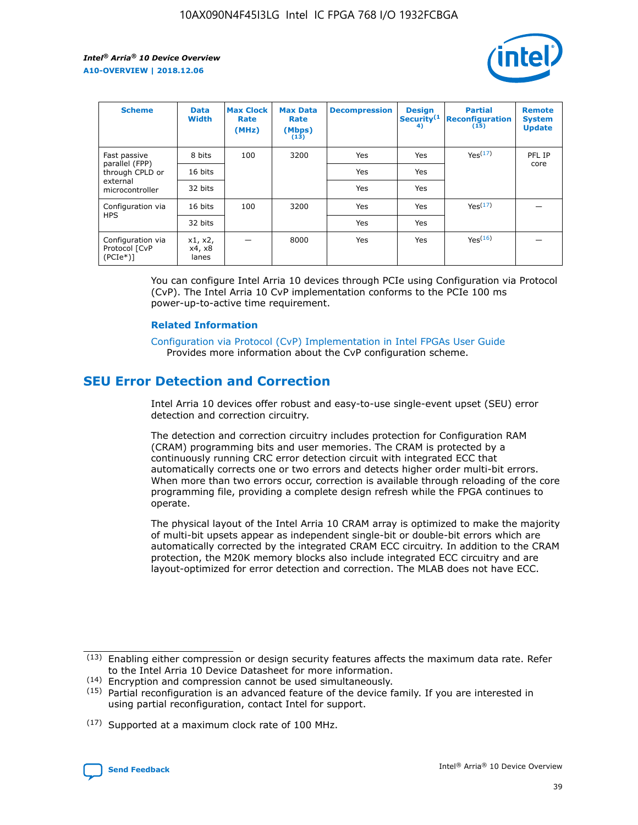

| <b>Scheme</b>                                    | <b>Data</b><br><b>Width</b> | <b>Max Clock</b><br>Rate<br>(MHz) | <b>Max Data</b><br>Rate<br>(Mbps)<br>(13) | <b>Decompression</b> | <b>Design</b><br>Security <sup>(1</sup><br>4) | <b>Partial</b><br><b>Reconfiguration</b><br>(15) | <b>Remote</b><br><b>System</b><br><b>Update</b> |
|--------------------------------------------------|-----------------------------|-----------------------------------|-------------------------------------------|----------------------|-----------------------------------------------|--------------------------------------------------|-------------------------------------------------|
| Fast passive                                     | 8 bits                      | 100                               | 3200                                      | <b>Yes</b>           | Yes                                           | Yes(17)                                          | PFL IP                                          |
| parallel (FPP)<br>through CPLD or                | 16 bits                     |                                   |                                           | Yes                  | Yes                                           |                                                  | core                                            |
| external<br>microcontroller                      | 32 bits                     |                                   |                                           | Yes                  | Yes                                           |                                                  |                                                 |
| Configuration via                                | 16 bits                     | 100                               | 3200                                      | Yes                  | Yes                                           | Yes <sup>(17)</sup>                              |                                                 |
| <b>HPS</b>                                       | 32 bits                     |                                   |                                           | Yes                  | Yes                                           |                                                  |                                                 |
| Configuration via<br>Protocol [CvP<br>$(PCIe^*)$ | x1, x2,<br>x4, x8<br>lanes  |                                   | 8000                                      | Yes                  | Yes                                           | Yes <sup>(16)</sup>                              |                                                 |

You can configure Intel Arria 10 devices through PCIe using Configuration via Protocol (CvP). The Intel Arria 10 CvP implementation conforms to the PCIe 100 ms power-up-to-active time requirement.

#### **Related Information**

[Configuration via Protocol \(CvP\) Implementation in Intel FPGAs User Guide](https://www.intel.com/content/www/us/en/programmable/documentation/dsu1441819344145.html#dsu1442269728522) Provides more information about the CvP configuration scheme.

# **SEU Error Detection and Correction**

Intel Arria 10 devices offer robust and easy-to-use single-event upset (SEU) error detection and correction circuitry.

The detection and correction circuitry includes protection for Configuration RAM (CRAM) programming bits and user memories. The CRAM is protected by a continuously running CRC error detection circuit with integrated ECC that automatically corrects one or two errors and detects higher order multi-bit errors. When more than two errors occur, correction is available through reloading of the core programming file, providing a complete design refresh while the FPGA continues to operate.

The physical layout of the Intel Arria 10 CRAM array is optimized to make the majority of multi-bit upsets appear as independent single-bit or double-bit errors which are automatically corrected by the integrated CRAM ECC circuitry. In addition to the CRAM protection, the M20K memory blocks also include integrated ECC circuitry and are layout-optimized for error detection and correction. The MLAB does not have ECC.

(14) Encryption and compression cannot be used simultaneously.

<sup>(17)</sup> Supported at a maximum clock rate of 100 MHz.



 $(13)$  Enabling either compression or design security features affects the maximum data rate. Refer to the Intel Arria 10 Device Datasheet for more information.

 $(15)$  Partial reconfiguration is an advanced feature of the device family. If you are interested in using partial reconfiguration, contact Intel for support.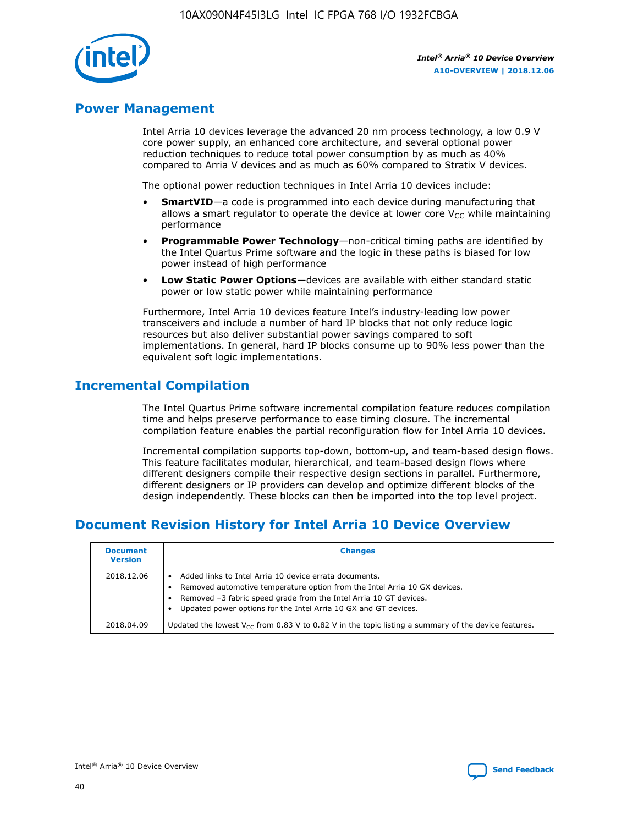

# **Power Management**

Intel Arria 10 devices leverage the advanced 20 nm process technology, a low 0.9 V core power supply, an enhanced core architecture, and several optional power reduction techniques to reduce total power consumption by as much as 40% compared to Arria V devices and as much as 60% compared to Stratix V devices.

The optional power reduction techniques in Intel Arria 10 devices include:

- **SmartVID**—a code is programmed into each device during manufacturing that allows a smart regulator to operate the device at lower core  $V_{CC}$  while maintaining performance
- **Programmable Power Technology**—non-critical timing paths are identified by the Intel Quartus Prime software and the logic in these paths is biased for low power instead of high performance
- **Low Static Power Options**—devices are available with either standard static power or low static power while maintaining performance

Furthermore, Intel Arria 10 devices feature Intel's industry-leading low power transceivers and include a number of hard IP blocks that not only reduce logic resources but also deliver substantial power savings compared to soft implementations. In general, hard IP blocks consume up to 90% less power than the equivalent soft logic implementations.

# **Incremental Compilation**

The Intel Quartus Prime software incremental compilation feature reduces compilation time and helps preserve performance to ease timing closure. The incremental compilation feature enables the partial reconfiguration flow for Intel Arria 10 devices.

Incremental compilation supports top-down, bottom-up, and team-based design flows. This feature facilitates modular, hierarchical, and team-based design flows where different designers compile their respective design sections in parallel. Furthermore, different designers or IP providers can develop and optimize different blocks of the design independently. These blocks can then be imported into the top level project.

# **Document Revision History for Intel Arria 10 Device Overview**

| <b>Document</b><br><b>Version</b> | <b>Changes</b>                                                                                                                                                                                                                                                              |
|-----------------------------------|-----------------------------------------------------------------------------------------------------------------------------------------------------------------------------------------------------------------------------------------------------------------------------|
| 2018.12.06                        | Added links to Intel Arria 10 device errata documents.<br>Removed automotive temperature option from the Intel Arria 10 GX devices.<br>Removed -3 fabric speed grade from the Intel Arria 10 GT devices.<br>Updated power options for the Intel Arria 10 GX and GT devices. |
| 2018.04.09                        | Updated the lowest $V_{CC}$ from 0.83 V to 0.82 V in the topic listing a summary of the device features.                                                                                                                                                                    |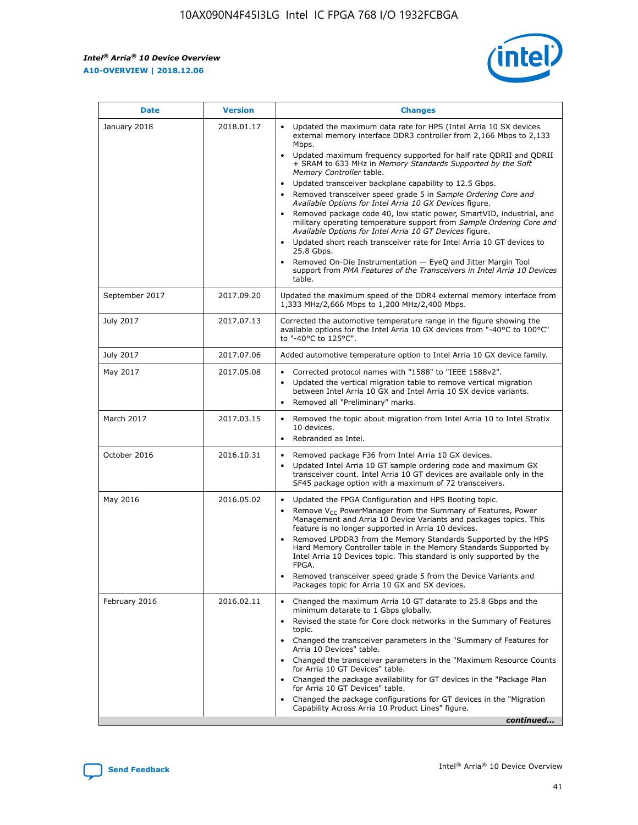*Intel® Arria® 10 Device Overview* **A10-OVERVIEW | 2018.12.06**



| <b>Date</b>    | <b>Version</b> | <b>Changes</b>                                                                                                                                                                                                                                                                                                                                                                                                                                                                                                                                                                                                                                                                                                                                                                                                                                                                                                                                                            |
|----------------|----------------|---------------------------------------------------------------------------------------------------------------------------------------------------------------------------------------------------------------------------------------------------------------------------------------------------------------------------------------------------------------------------------------------------------------------------------------------------------------------------------------------------------------------------------------------------------------------------------------------------------------------------------------------------------------------------------------------------------------------------------------------------------------------------------------------------------------------------------------------------------------------------------------------------------------------------------------------------------------------------|
| January 2018   | 2018.01.17     | Updated the maximum data rate for HPS (Intel Arria 10 SX devices<br>external memory interface DDR3 controller from 2,166 Mbps to 2,133<br>Mbps.<br>Updated maximum frequency supported for half rate QDRII and QDRII<br>+ SRAM to 633 MHz in Memory Standards Supported by the Soft<br>Memory Controller table.<br>Updated transceiver backplane capability to 12.5 Gbps.<br>$\bullet$<br>Removed transceiver speed grade 5 in Sample Ordering Core and<br>Available Options for Intel Arria 10 GX Devices figure.<br>Removed package code 40, low static power, SmartVID, industrial, and<br>military operating temperature support from Sample Ordering Core and<br>Available Options for Intel Arria 10 GT Devices figure.<br>Updated short reach transceiver rate for Intel Arria 10 GT devices to<br>25.8 Gbps.<br>Removed On-Die Instrumentation - EyeQ and Jitter Margin Tool<br>support from PMA Features of the Transceivers in Intel Arria 10 Devices<br>table. |
| September 2017 | 2017.09.20     | Updated the maximum speed of the DDR4 external memory interface from<br>1,333 MHz/2,666 Mbps to 1,200 MHz/2,400 Mbps.                                                                                                                                                                                                                                                                                                                                                                                                                                                                                                                                                                                                                                                                                                                                                                                                                                                     |
| July 2017      | 2017.07.13     | Corrected the automotive temperature range in the figure showing the<br>available options for the Intel Arria 10 GX devices from "-40°C to 100°C"<br>to "-40°C to 125°C".                                                                                                                                                                                                                                                                                                                                                                                                                                                                                                                                                                                                                                                                                                                                                                                                 |
| July 2017      | 2017.07.06     | Added automotive temperature option to Intel Arria 10 GX device family.                                                                                                                                                                                                                                                                                                                                                                                                                                                                                                                                                                                                                                                                                                                                                                                                                                                                                                   |
| May 2017       | 2017.05.08     | Corrected protocol names with "1588" to "IEEE 1588v2".<br>Updated the vertical migration table to remove vertical migration<br>between Intel Arria 10 GX and Intel Arria 10 SX device variants.<br>Removed all "Preliminary" marks.                                                                                                                                                                                                                                                                                                                                                                                                                                                                                                                                                                                                                                                                                                                                       |
| March 2017     | 2017.03.15     | Removed the topic about migration from Intel Arria 10 to Intel Stratix<br>10 devices.<br>Rebranded as Intel.<br>$\bullet$                                                                                                                                                                                                                                                                                                                                                                                                                                                                                                                                                                                                                                                                                                                                                                                                                                                 |
| October 2016   | 2016.10.31     | Removed package F36 from Intel Arria 10 GX devices.<br>Updated Intel Arria 10 GT sample ordering code and maximum GX<br>$\bullet$<br>transceiver count. Intel Arria 10 GT devices are available only in the<br>SF45 package option with a maximum of 72 transceivers.                                                                                                                                                                                                                                                                                                                                                                                                                                                                                                                                                                                                                                                                                                     |
| May 2016       | 2016.05.02     | Updated the FPGA Configuration and HPS Booting topic.<br>Remove V <sub>CC</sub> PowerManager from the Summary of Features, Power<br>Management and Arria 10 Device Variants and packages topics. This<br>feature is no longer supported in Arria 10 devices.<br>Removed LPDDR3 from the Memory Standards Supported by the HPS<br>Hard Memory Controller table in the Memory Standards Supported by<br>Intel Arria 10 Devices topic. This standard is only supported by the<br>FPGA.<br>Removed transceiver speed grade 5 from the Device Variants and<br>Packages topic for Arria 10 GX and SX devices.                                                                                                                                                                                                                                                                                                                                                                   |
| February 2016  | 2016.02.11     | Changed the maximum Arria 10 GT datarate to 25.8 Gbps and the<br>minimum datarate to 1 Gbps globally.<br>Revised the state for Core clock networks in the Summary of Features<br>$\bullet$<br>topic.<br>Changed the transceiver parameters in the "Summary of Features for<br>Arria 10 Devices" table.<br>• Changed the transceiver parameters in the "Maximum Resource Counts<br>for Arria 10 GT Devices" table.<br>• Changed the package availability for GT devices in the "Package Plan<br>for Arria 10 GT Devices" table.<br>Changed the package configurations for GT devices in the "Migration"<br>Capability Across Arria 10 Product Lines" figure.<br>continued                                                                                                                                                                                                                                                                                                  |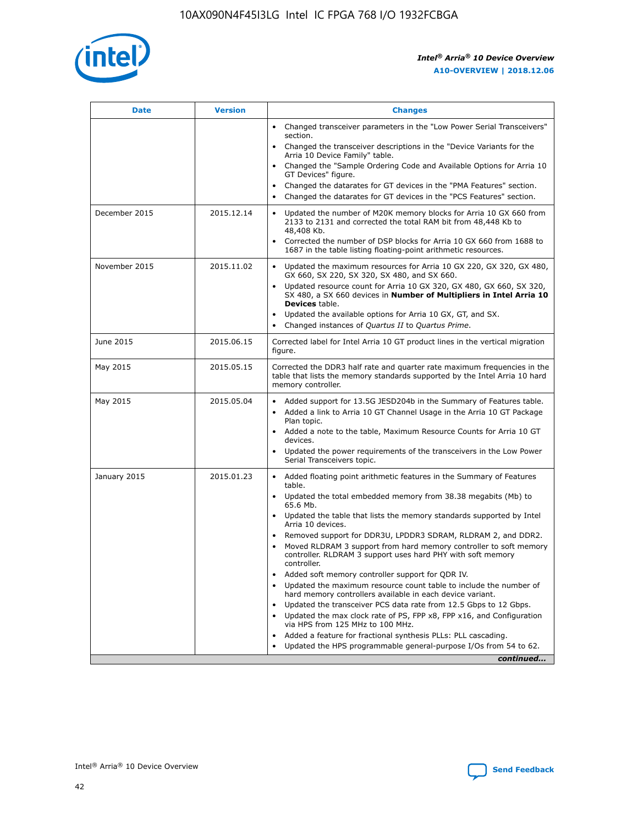

| <b>Date</b>   | <b>Version</b> | <b>Changes</b>                                                                                                                                                                   |
|---------------|----------------|----------------------------------------------------------------------------------------------------------------------------------------------------------------------------------|
|               |                | • Changed transceiver parameters in the "Low Power Serial Transceivers"<br>section.                                                                                              |
|               |                | • Changed the transceiver descriptions in the "Device Variants for the<br>Arria 10 Device Family" table.                                                                         |
|               |                | Changed the "Sample Ordering Code and Available Options for Arria 10<br>GT Devices" figure.                                                                                      |
|               |                | Changed the datarates for GT devices in the "PMA Features" section.                                                                                                              |
|               |                | Changed the datarates for GT devices in the "PCS Features" section.<br>$\bullet$                                                                                                 |
| December 2015 | 2015.12.14     | Updated the number of M20K memory blocks for Arria 10 GX 660 from<br>$\bullet$<br>2133 to 2131 and corrected the total RAM bit from 48,448 Kb to<br>48,408 Kb.                   |
|               |                | Corrected the number of DSP blocks for Arria 10 GX 660 from 1688 to<br>$\bullet$<br>1687 in the table listing floating-point arithmetic resources.                               |
| November 2015 | 2015.11.02     | Updated the maximum resources for Arria 10 GX 220, GX 320, GX 480,<br>$\bullet$<br>GX 660, SX 220, SX 320, SX 480, and SX 660.                                                   |
|               |                | Updated resource count for Arria 10 GX 320, GX 480, GX 660, SX 320,<br>$\bullet$<br>SX 480, a SX 660 devices in Number of Multipliers in Intel Arria 10<br><b>Devices</b> table. |
|               |                | Updated the available options for Arria 10 GX, GT, and SX.<br>$\bullet$                                                                                                          |
|               |                | Changed instances of Quartus II to Quartus Prime.<br>$\bullet$                                                                                                                   |
| June 2015     | 2015.06.15     | Corrected label for Intel Arria 10 GT product lines in the vertical migration<br>figure.                                                                                         |
| May 2015      | 2015.05.15     | Corrected the DDR3 half rate and quarter rate maximum frequencies in the<br>table that lists the memory standards supported by the Intel Arria 10 hard<br>memory controller.     |
| May 2015      | 2015.05.04     | • Added support for 13.5G JESD204b in the Summary of Features table.<br>• Added a link to Arria 10 GT Channel Usage in the Arria 10 GT Package<br>Plan topic.                    |
|               |                | • Added a note to the table, Maximum Resource Counts for Arria 10 GT<br>devices.                                                                                                 |
|               |                | Updated the power requirements of the transceivers in the Low Power<br>Serial Transceivers topic.                                                                                |
| January 2015  | 2015.01.23     | • Added floating point arithmetic features in the Summary of Features<br>table.                                                                                                  |
|               |                | • Updated the total embedded memory from 38.38 megabits (Mb) to<br>65.6 Mb.                                                                                                      |
|               |                | • Updated the table that lists the memory standards supported by Intel<br>Arria 10 devices.                                                                                      |
|               |                | Removed support for DDR3U, LPDDR3 SDRAM, RLDRAM 2, and DDR2.<br>Moved RLDRAM 3 support from hard memory controller to soft memory                                                |
|               |                | controller. RLDRAM 3 support uses hard PHY with soft memory<br>controller.                                                                                                       |
|               |                | Added soft memory controller support for QDR IV.                                                                                                                                 |
|               |                | Updated the maximum resource count table to include the number of<br>hard memory controllers available in each device variant.                                                   |
|               |                | Updated the transceiver PCS data rate from 12.5 Gbps to 12 Gbps.<br>$\bullet$                                                                                                    |
|               |                | Updated the max clock rate of PS, FPP x8, FPP x16, and Configuration<br>via HPS from 125 MHz to 100 MHz.                                                                         |
|               |                | Added a feature for fractional synthesis PLLs: PLL cascading.                                                                                                                    |
|               |                | Updated the HPS programmable general-purpose I/Os from 54 to 62.<br>$\bullet$                                                                                                    |
|               |                | continued                                                                                                                                                                        |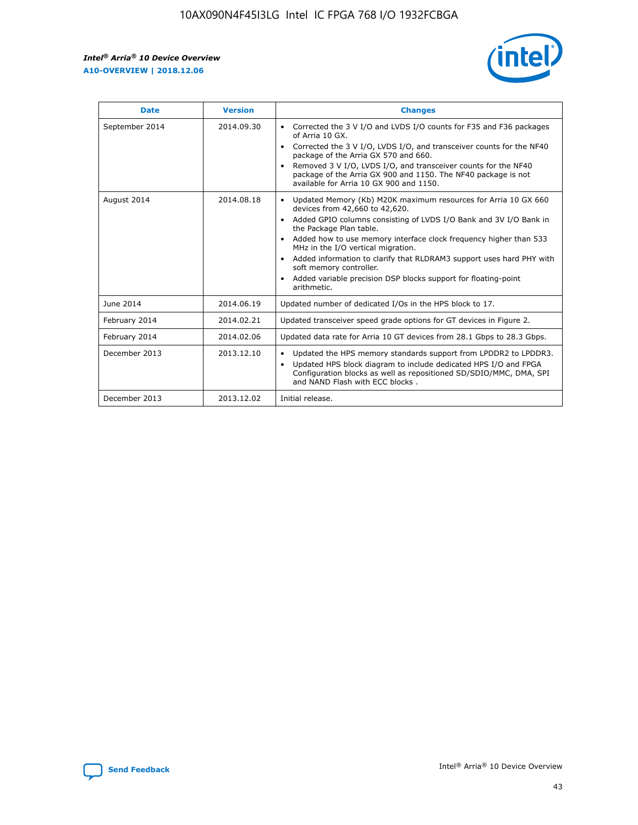r



| <b>Date</b>    | <b>Version</b> | <b>Changes</b>                                                                                                                                                                                                                                                                                                                                                                                                                                                                                                                         |
|----------------|----------------|----------------------------------------------------------------------------------------------------------------------------------------------------------------------------------------------------------------------------------------------------------------------------------------------------------------------------------------------------------------------------------------------------------------------------------------------------------------------------------------------------------------------------------------|
| September 2014 | 2014.09.30     | Corrected the 3 V I/O and LVDS I/O counts for F35 and F36 packages<br>of Arria 10 GX.<br>Corrected the 3 V I/O, LVDS I/O, and transceiver counts for the NF40<br>$\bullet$<br>package of the Arria GX 570 and 660.<br>Removed 3 V I/O, LVDS I/O, and transceiver counts for the NF40<br>package of the Arria GX 900 and 1150. The NF40 package is not<br>available for Arria 10 GX 900 and 1150.                                                                                                                                       |
| August 2014    | 2014.08.18     | Updated Memory (Kb) M20K maximum resources for Arria 10 GX 660<br>devices from 42,660 to 42,620.<br>Added GPIO columns consisting of LVDS I/O Bank and 3V I/O Bank in<br>$\bullet$<br>the Package Plan table.<br>Added how to use memory interface clock frequency higher than 533<br>$\bullet$<br>MHz in the I/O vertical migration.<br>Added information to clarify that RLDRAM3 support uses hard PHY with<br>$\bullet$<br>soft memory controller.<br>Added variable precision DSP blocks support for floating-point<br>arithmetic. |
| June 2014      | 2014.06.19     | Updated number of dedicated I/Os in the HPS block to 17.                                                                                                                                                                                                                                                                                                                                                                                                                                                                               |
| February 2014  | 2014.02.21     | Updated transceiver speed grade options for GT devices in Figure 2.                                                                                                                                                                                                                                                                                                                                                                                                                                                                    |
| February 2014  | 2014.02.06     | Updated data rate for Arria 10 GT devices from 28.1 Gbps to 28.3 Gbps.                                                                                                                                                                                                                                                                                                                                                                                                                                                                 |
| December 2013  | 2013.12.10     | Updated the HPS memory standards support from LPDDR2 to LPDDR3.<br>Updated HPS block diagram to include dedicated HPS I/O and FPGA<br>$\bullet$<br>Configuration blocks as well as repositioned SD/SDIO/MMC, DMA, SPI<br>and NAND Flash with ECC blocks.                                                                                                                                                                                                                                                                               |
| December 2013  | 2013.12.02     | Initial release.                                                                                                                                                                                                                                                                                                                                                                                                                                                                                                                       |